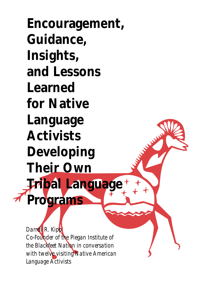**Encouragement, Guidance, Insights, and Lessons Learned for Native Language Activists Simple Report Developing Their Own Tribal Language Programs***Darrell R. Kipp Co-Founder of the Piegan Institute of the Blackfeet Nation in conversation with twelve visiting Native American Language Activists*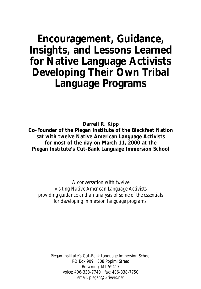## **Encouragement, Guidance, Insights, and Lessons Learned for Native Language Activists Developing Their Own Tribal Language Programs**

**Darrell R. Kipp Co-Founder of the Piegan Institute of the Blackfeet Nation sat with twelve Native American Language Activists for most of the day on March 11, 2000 at the Piegan Institute's Cut-Bank Language Immersion School**

*A conversation with twelve visiting Native American Language Activists providing guidance and an analysis of some of the essentials for developing immersion language programs.*

> Piegan Institute's Cut-Bank Language Immersion School PO Box 909 308 Popimi Street Browning, MT 59417 voice: 406-338-7740 fax: 406-338-7750 email: piegan@3rivers.net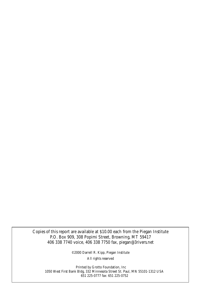Copies of this report are available at \$10.00 each from the Piegan Institute P.O. Box 909, 308 Popimi Street, Browning, MT 59417 406 338 7740 voice, 406 338 7750 fax, piegan@3rivers.net

> ©2000 Darrell R. Kipp, Piegan Institute All rights reserved

Printed by Grotto Foundation, Inc 1050 West First Bank Bldg, 332 Minnesota Street St. Paul, MN 55101-1312 USA 651 225-0777 fax: 651 225-0752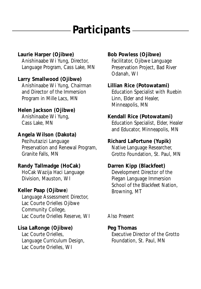## **Participants**

**Laurie Harper (Ojibwe)** Anishinaabe Wi Yung, Director, Language Program, Cass Lake, MN

**Larry Smallwood (Ojibwe)** Anishinaabe Wi Yung, Chairman and Director of the Immersion Program in Mille Lacs, MN

**Helen Jackson (Ojibwe)** Anishinaabe Wi Yung, Cass Lake, MN

**Angela Wilson (Dakota)** Pezihutazizi Language Preservation and Renewal Program, Granite Falls, MN

**Randy Tallmadge (HoCak)** HoCak Wazija Haci Language Division, Mauston, WI

**Keller Paap (Ojibwe**) Language Assessment Director, Lac Courte Orielles Ojibwe Community College, Lac Courte Orielles Reserve, WI

**Lisa LaRonge (Ojibwe)** Lac Courte Orielles, Language Curriculum Design, Lac Courte Orielles, WI

**Bob Powless (Ojibwe)** Facilitator, Ojibwe Language Preservation Project, Bad River Odanah, WI

**Lillian Rice (Potowatami)** Education Specialist with Ruebin Linn, Elder and Healer, Minneapolis, MN

**Kendall Rice (Potowatami)** Education Specialist, Elder, Healer and Educator, Minneapolis, MN

**Richard LaFortune (Yupik)** Native Language Researcher, Grotto Foundation, St. Paul, MN

**Darren Kipp (Blackfeet)** Development Director of the Piegan Language Immersion School of the Blackfeet Nation, Browning, MT

#### *Also Present*

**Peg Thomas** Executive Director of the Grotto Foundation, St. Paul, MN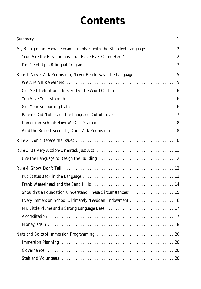# **Contents**

| My Background: How I Became Involved with the Blackfeet Language  2      |
|--------------------------------------------------------------------------|
| "You Are the First Indians That Have Ever Come Here"<br>$\boldsymbol{2}$ |
|                                                                          |
| Rule 1: Never Ask Permission, Never Beg to Save the Language  5          |
|                                                                          |
|                                                                          |
|                                                                          |
|                                                                          |
|                                                                          |
|                                                                          |
|                                                                          |
|                                                                          |
|                                                                          |
|                                                                          |
|                                                                          |
|                                                                          |
|                                                                          |
| Shouldn't a Foundation Understand These Circumstances?  15               |
| Every Immersion School Ultimately Needs an Endowment  16                 |
|                                                                          |
|                                                                          |
|                                                                          |
|                                                                          |
|                                                                          |
|                                                                          |
|                                                                          |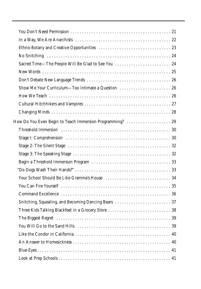| Sacred Time-The People Will Be Glad to See You  24   |  |
|------------------------------------------------------|--|
|                                                      |  |
|                                                      |  |
| Show Me Your Curriculum—Too Intimate a Question  26  |  |
|                                                      |  |
|                                                      |  |
|                                                      |  |
|                                                      |  |
|                                                      |  |
|                                                      |  |
|                                                      |  |
|                                                      |  |
|                                                      |  |
|                                                      |  |
|                                                      |  |
|                                                      |  |
|                                                      |  |
| Snitching, Squealing, and Becoming Dancing Bears  37 |  |
|                                                      |  |
|                                                      |  |
|                                                      |  |
|                                                      |  |
|                                                      |  |
|                                                      |  |
|                                                      |  |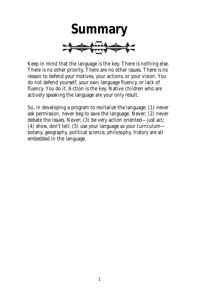

Keep in mind that the language is the key. There is nothing else. There is no other priority. There are no other issues. There is no reason to defend your motives, your actions, or your vision. You do not defend yourself, your own language fluency, or lack of fluency. You do it. Action is the key. Native children who are actively speaking the language are your only result.

So, in developing a program to revitalize the language: (1) never ask permission, never beg to save the language. Never; (2) never debate the issues. Never; (3) be very action oriented—just act; (4) show, don't tell; (5) use your language as your curriculum botany, geography, political science, philosophy, history are all embedded in the language.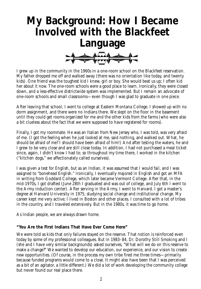

I grew up in the community in the 1960s in a one-room school on the Blackfeet reservation. My father dropped me off and walked away (there was no orientation like today, and twenty kids). One friend was the toughest kid I knew, girl or boy. She would beat us up; I often kid her about it now. The one-room schools were a good place to learn. Ironically, they were closed down, and a less-effective districtwide system was implemented. But I remain an advocate of one-room schools and small classrooms—even though I was glad to graduate in one piece.

After leaving that school, I went to college at Eastern Montana College. I showed up with no dorm assignment, and there were no Indians there. We slept on the floor in the basement until they could get rooms organized for me and the other kids from the farms (who were also a bit clueless about the fact that we were supposed to have registered for rooms).

Finally, I got my roommate. He was an Italian from New Jersey who, I was told, was very afraid of me. (I got the feeling when he just looked at me, said nothing, and walked out. What, he should be afraid of me? I should have been afraid of him!) And after testing the waters, he and I grew to be very close and are still close today. In addition, I had not purchased a meal ticket since, again, I didn't know I had to; so throughout my time there, I worked in the kitchen ("kitchen dogs," we affectionately called ourselves).

I was given a test for English, but as an Indian, it was assumed that I would fail, and I was assigned to "bonehead English." Ironically, I eventually majored in English and got an MFA in writing from Goddard College, which later became Vermont College. After that, in the mid-1970s, I got drafted (June 28th I graduated and was out of college, and July 6th I went to the Army induction center). After serving in the Army, I went to Harvard. I got a master's degree at Harvard University in 1975, studying social change and institutional change. My career kept me very active; I lived in Boston and other places. I consulted with a lot of tribes in the country, and I traveled extensively. But in the 1980s, it was time to go home.

As Indian people, we are always drawn home.

#### **"You Are the First Indians That Have Ever Come Here"**

We were told as kids that only failures stayed on the reserve. That notion is reinforced even today by some of my professional colleagues. But in 1983–84, Dr. Dorothy Still Smoking and I (she and I have very similar backgrounds) asked ourselves, "What will we do on this reserve to make a change?" We wanted to develop our education, our experience, and our vision to create new opportunities. (Of course, in the process my own tribe fired me three times—primarily because funded programs would come to a close. It might also have been that I was perceived as a bit of an agitator, a little different.) We did a lot of work developing the community college but never found our real place there.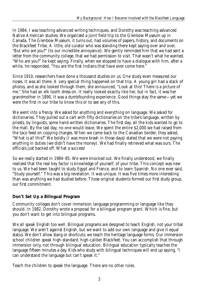In 1984, I was teaching advanced writing techniques, and Dorothy was teaching advanced Native American studies. We organized a joint field trip to the Glenbow Museum up in Canada. The Glenbow Museum, it turns out, had volumes of papers, history, and documents on the Blackfeet Tribe. A little, old curator who was standing there kept saying over and over, "But who are you?" (to our incredible annoyance). We gently reminded him that we had sent a letter from the community college, that we had permission to visit. That wasn't what he wanted. "Who are you?" he kept saying. Finally, when we stopped to have a dialogue with him, after a while, he responded, "You are the first Indians that have ever come here."

Since 1910, researchers have done a thousand studies on us. One study even measured our noses. It was all there. A very special thing happened on that trip. A young girl had a stack of photos, and as she looked through them, she announced, "Look at this! There is a picture of me." She had an elk tooth dress on. It really looked exactly like her, but in fact, it was her grandmother in 1890. It was a dumbfounding experience. Good things stay the same—yet we were the first in our tribe to know this or to see any of this.

We went into a frenzy. We asked for anything and everything on language. We asked for dictionaries. They pulled out a cart with fifty dictionaries on the tribe's language, written by priests, by linguists, some hand-written dictionaries. The first day, all the kids wanted to go to the mall. By the last day, no one would leave. We spent the entire \$2,000 we had raised from the taco feed on copying charges. When we came back to the Canadian border, they asked, "What is all this?" We boldly (I was more brash in those days) stated that we were not paying anything in duties (we didn't have the money). We had finally retrieved what was ours. The officials just backed off. What a success!

So we really started in 1984–85. We were knocked out. We finally understood, we finally realized that the real key factor is knowledge of yourself, of your tribe. This concept was new to us. We had been taught to study Egypt and France, and to learn Spanish. No one ever said, "Study yourself." This was a big revelation. It was unique. It was five times more interesting than was anything we had studied before. Those original students formed our first study group, our first commitment.

## **Don't Set Up a Bilingual Program**

Community colleges don't cover immersion language programming or language like they should. In 1982, Dorothy wrote a proposal for a bilingual program grant. Which is fine, but you don't want to get into bilingual programs.

We all speak English too well. Bilingual programs are designed to teach English, not your tribal language. We aren't against English, but we want to add our own language and give it equal status. We don't allow slang or shortcuts; we teach the heritage language forms. Our immersion school children speak high-standard, high-caliber Blackfeet. You can accomplish that through immersion only, not through bilingual education. Bilingual education typically teaches the language fifteen minutes a day. Kids who study with bilingual techniques will end up saying, "I can understand the language but can't speak it."

Teach the children to speak the language. There are no other rules.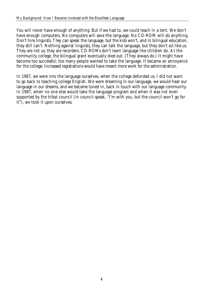You will never have enough of anything. But if we had to, we could teach in a tent. We don't have enough computers. No computers will save the language. No CD-ROM will do anything. Don't hire linguists. *They* can speak the language, but the kids won't, and in bilingual education, they still can't. Nothing against linguists, they can talk the language, but they don't *act* like us. They are not us; they are recorders. CD-ROMs don't learn language like children do. At the community college, the bilingual grant eventually died out. (They always do.) It might have become too successful; too many people wanted to take the language. It became an annoyance for the college. Increased registrations would have meant more work for the administration.

In 1987, we were into the language ourselves, when the college defunded us. I did not want to go back to teaching college English. We were dreaming in our language, we would hear our language in our dreams, and we became tuned in, back in touch with our language community. In 1987, when no one else would take the language program and when it was not even supported by the tribal council (in council-speak, "I'm with you, but the council won't go for it"), we took it upon ourselves.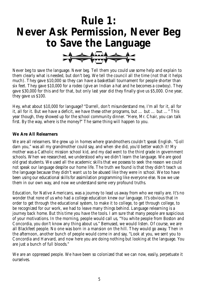## **Rule 1: Never Ask Permission, Never Beg to Save the Language**  $\frac{1}{\sqrt{1-\frac{1}{2}}\sqrt{1-\frac{1}{2}}\sqrt{1-\frac{1}{2}}}}$

Never beg to save the language. *Never beg.* Tell them you could use some help and explain to them clearly what is needed, but don't beg. We tell the council all the time (not that it helps much). They gave \$10,000 so they can have a basketball tournament for people shorter than six feet. They gave \$10,000 for a rodeo (give an Indian a hat and he becomes a cowboy). They gave \$30,000 for this and for that, but only last year did they finally give us \$5,000. One year, they gave us \$100.

Hey, what about \$10,000 for language? "Darrell, don't misunderstand me, I'm all for it, all for it, all for it. But we have a deficit, we have these other programs, but … but … but …" This year though, they showed up for the school community dinner. "Here, Mr. Chair, you can talk first. By the way, where is the money?" The same thing will happen to you.

#### **We Are All Relearners**

We are all relearners. We grew up in homes where grandmothers couldn't speak English. "Goll darn you," was all my grandmother could say, and when she did, you'd better watch it! My mother was a Catholic mission school kid, and my dad went to the third grade in government schools. When we researched, we understood why we didn't learn the language. We are good old grad students. We used all the academic skills that we possess to seek the reason we could not speak our language despite our home life. The truth we found is that they didn't teach us the language because they didn't want us to be abused like they were in school. We too have been using our educational skills for assimilation programming like everyone else. Now we use them in our own way, and now we understand some very profound truths.

Education, for Native Americans, was a journey to lead us away from who we really are. It's no wonder that *none* of us who had a college education knew our language. It's obvious that in order to get through the educational system, to make it to college, to get through college, to be recognized for our work, we had to leave many things behind. Language relearning is a journey back home. But this time you have the tools. I am sure that many people are suspicious of your motivations. In the morning, people would call us, "You white people from Boston and Concordia, you don't know any thing about us." Bemused, we would listen. Of course, we are all Blackfeet people. No one was born in a mansion on the hill. They would go away. Then in the afternoon, another bunch of people would come in and say, "Look at you, we sent you to Concordia and Harvard, and now here you are doing nothing but looking at the language. You are just a bunch of full bloods."

We are an oppressed people. We have been so colonized that we can now, easily, perpetuate it ourselves.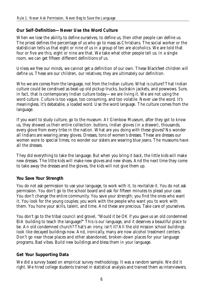## **Our Self-Definition—Never Use the Word** *Culture*

When we lose the ability to define ourselves, to define us, then other people can define us. The priest defines the percentage of us who go to mass as Christians. The social worker or the statistician tells us that eight or nine of us in a group of ten are alcoholics. We are told that four or five are this, eight or nine are that. We take what other people tell us. In a single room, we can get fifteen different definitions of *us*.

Unless we free our minds, we cannot get a definition of our own. These Blackfeet children *will* define us. These are our children, our relatives; they are ultimately our definition.

Who we are comes from the language, not from the Indian culture. What is culture? That Indian culture could be construed as beat-up old pickup trucks, buckskin jackets, and powwows. Sure, in fact, that is contemporary Indian culture today—we are living it. We are not using the word *culture. Culture* is too vague, too consuming, and too volatile. Never use the word. It's meaningless. It's debatable, a loaded word. Use the word l*anguage.* The culture comes from the language.

If you want to study culture, go to the museum. At Glenbow Museum, after they got to know us, they showed us their entire collection: buttons, Indian gloves (in a drawer), thousands, every glove from every tribe in the nation. What are you doing with these gloves? No wonder all Indians are wearing jersey gloves. Dresses, tons of women's dresses. These are dresses our women wore to special times; no wonder our sisters are wearing blue jeans. The museums have all the dresses.

They did everything to take the language. But when you bring it back, the little kids will make new dresses. The little kids will make new gloves and new shoes. And the next time they come to take away the dresses and the gloves, the kids will not give them up.

#### **You Save Your Strength**

You do not ask permission to use your language, to work with it, to revitalize it. You do not ask permission. You don't go to the school board and ask for fifteen minutes to plead your case. You don't change the entire community. You save your strength; you find the ones who want it. You look for the young couples; you work with the people who want you to work with them. You hone your skills, talent, and time. And these are precious. Take care of yourselves.

You don't go to the tribal council and grovel, "Would it be OK if you gave us an old condemned BIA building to teach the language?" This is our language, and it deserves a beautiful place to be. An old condemned church? That's an irony, isn't it? All the old mission school buildings look like decayed buildings now. And, ironically, many are now alcohol treatment centers. Don't go near those places and other abandoned, broken-down places for your language programs. Bad vibes. Build new buildings and bless them in your language.

## **Get Your Supporting Data**

We did a survey based on empirical survey methodology. It was a random sample. We did it right. We hired college students trained in statistical analysis and trained them as interviewers.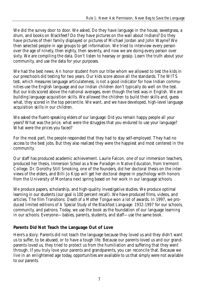We did the survey door to door. We asked, Do they have language in the house, sweetgrass, a drum, and books on Blackfeet? Do they have pictures on the wall about Indians? Do they have pictures of their family displayed or pictures of Michael Jordan and John Wayne? We then selected people in age groups to get information. We tried to interview every person over the age of ninety, then eighty, then seventy, and now we are doing every person over sixty. We are compiling the data. Don't listen to hearsay or gossip. Learn the truth about your community, and use the data for your purposes.

We had the best news. An honor student from our tribe whom we allowed to test the kids in our preschools did testing for two years. Our kids score above all the standards. The WITS test, which measures language articulateness, is not a good indicator for how Indian communities use the English language and our Indian children don't typically do well on the test. But our kids scored above the national averages, even though the test was in English. We are building language acquisition skills. We allowed the children to build their skills and, guess what, they scored in the top percentile. We want, and we have developed, high-level language acquisition skills in our children.

We asked the fluent-speaking elders of our language: Did you remain happy people all your years? What was the price, what were the struggles that you endured to use your language? What were the prices you faced?

For the most part, the people responded that they had to stay self-employed. They had no access to the best jobs. But they also realized they were the happiest and most centered in the community.

Our staff has produced academic achievement. Laurie Falcon, one of our immersion teachers, produced her thesis, *Immersion School as a New Paradigm in Native Education*, from Vermont College. Dr. Dorothy Still Smoking, one of the founders, did her doctoral thesis on the interviews of the elders, and Billi Jo Kipp will get her doctoral degree in psychology with honors from the University of Montana next spring based on her work in our language schools.

We produce papers, scholarship, and high-quality investigative studies. We produce optimal learning in our students (our goal is 100 percent recall). We have produced films, videos, and articles. The film *Transitions: Death of a Mother Tongue* won a lot of awards. In 1997, we produced limited editions of *A Special Study of the Blackfoot Language: 1932-1997* for our schools, community, and patrons. Today, we use the book as the foundation of our language learning in our schools. Everyone—babies, parents, students, and staff—use the same book.

#### **Parents Did Not Teach the Language Out of Love**

Here's a story: Parents did not teach the language because they loved us and they didn't want us to suffer, to be abused, or to have a tough life. Because our parents loved us and our grandparents loved us, they tried to protect us from the humiliation and suffering that they went through. If you truly love your parents and grandparents, you can reconcile that. Because we live in an enlightened age today, opportunities are available to us that simply were not available to our parents.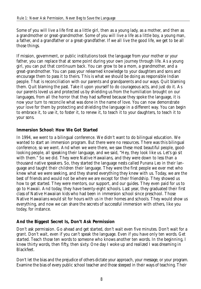Some of you will live a life first as a little girl, then as a young lady, as a mother, and then as a grandmother or great-grandmother. Some of you will live a life as a little boy, a young man, a father, and a grandfather or a great-grandfather. If we all live the good life, we get to be all those things.

If mission, government, or public institutions took the language from your mother or your father, you can replace that at some point during your own journey through life. As a young girl, you can put that continuum back. You can grow to be a mom, a grandmother, and a great-grandmother. You can pass your relearned knowledge to your daughters and sons and encourage them to pass it to theirs. This is what we should be doing as responsible Indian people. That is reconciliation with our parents and grandparents and our ways. Quit blaming them. Quit blaming the past. Take it upon yourself to do courageous acts, and just do it. As our parents loved us and protected us by shielding us from the humiliation brought on our languages, from all the horror that they had suffered because they spoke the language, it is now your turn to reconcile what was done in the name of love. You can now demonstrate your love for them by protecting and shielding the language in a different way. You can begin to embrace it, to use it, to foster it, to renew it, to teach it to your daughters, to teach it to your sons.

#### **Immersion School: How We Got Started**

In 1994, we went to a bilingual conference. We didn't want to do bilingual education. We wanted to start an immersion program. But there were no resources. There was this bilingual conference, so we went. And when we were there, we saw these most beautiful people, goodlooking people, all speaking their language, and we said, "Hey, they look like us. Let's go sit with them." So we did. They were Native Hawaiians, and they were down to less than a thousand native speakers. So, they started the language nests called *Punana Leo* in their language and taught their children their language. They were the first people we ever met who knew what we were seeking, and they shared everything they knew with us. Today, we are the best of friends and would not be where we are except for their friendship. They showed us how to get started. They were mentors, our support, and our guides. They even paid for us to go to Hawaii. And today, they have twenty-eight schools. Last year, they graduated their first class of Native Hawaiian kids who had been in immersion school since preschool. Those Native Hawaiians would sit for hours with us in their homes and schools. They would show us everything, and now we can share the secrets of successful immersion with others, like you today, for instance.

#### **And the Biggest Secret Is, Don't Ask Permission**

Don't ask permission. Go ahead and get started, don't wait even five minutes. Don't wait for a grant. Don't wait, even if you can't speak the language. Even if you have only ten words. Get started. Teach those ten words to someone who knows another ten words. In the beginning, I knew thirty words, then fifty, then sixty. One day I woke up and realized I was dreaming in Blackfeet.

Don't let the bias and the prejudice of others dictate your approach, your message, or your program. Examine the bias of every public school teacher and those steeped in their ways of teaching. Their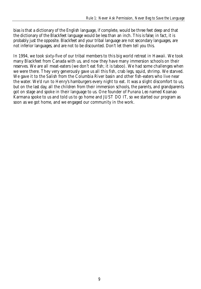bias is that a dictionary of the English language, if complete, would be three feet deep and that the dictionary of the Blackfeet language would be less than an inch. This is false; in fact, it is probably just the opposite. Blackfeet and your tribal language are not secondary languages, are not inferior languages, and are not to be discounted. Don't let them tell you this.

In 1994, we took sixty-five of our tribal members to this big world retreat in Hawaii. We took many Blackfeet from Canada with us, and now they have many immersion schools on their reserves. We are all meat-eaters (we don't eat fish; it is taboo). We had some challenges when we were there. They very generously gave us all this fish, crab legs, squid, shrimp. We starved. We gave it to the Salish from the Columbia River basin and other fish-eaters who live near the water. We'd run to Henry's hamburgers every night to eat. It was a slight discomfort to us, but on the last day, all the children from their immersion schools, the parents, and grandparents got on stage and spoke in their language to us. One founder of *Punana Leo* named Koanao Karmana spoke to us and told us to go home and JUST DO IT, so we started our program as soon as we got home, and we engaged our community in the work.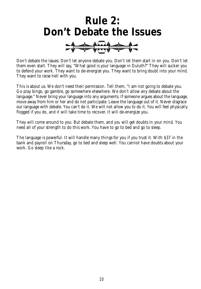

Don't debate the issues. Don't let anyone debate you. Don't let them start in on you. Don't let them even start. They will say, "What good is your language in Duluth?" They will sucker you to defend your work. They want to de-energize you. They want to bring doubt into your mind. They want to raise hell with you.

This is about us. We don't need their permission. Tell them, "I am not going to debate you. Go play bingo, go gamble, go somewhere elsewhere. We don't allow any debate about the language." Never bring your language into any arguments. If someone argues about the language, move away from him or her and do not participate. Leave the language out of it. Never disgrace our language with debate. You can't do it. We will not allow you to do it. You will feel physically flogged if you do, and it will take time to recover. It will de-energize you.

They will come around to you. But debate them, and *you* will get doubts in your mind. You need all of your strength to do this work. You have to go to bed and go to sleep.

The language is powerful. It will handle many things for you if you trust it. With \$37 in the bank and payroll on Thursday, go to bed and sleep well. You cannot have doubts about your work. Go sleep like a rock.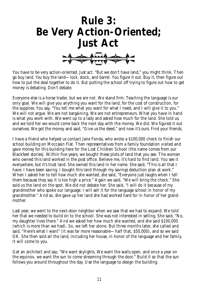

You have to be very action-oriented. Just act. "But we don't have land," you might think. Then go buy land. *You* buy the land—lock, stock, and barrel. You figure it out. Buy it, then figure out how to put the deal together to do it. But putting the school off trying to figure out how to get money is debating. Don't debate.

Everyone else is a horse trader, but we are not. We stand firm. Teaching the language is our only goal. We will give you anything you want for the land, for the cost of construction, for the supplies. You say, "You tell me what you want for what I need, and I will give it to you." We will not argue. We are not bargaining. We are not entrepreneurs. What you have in hand is what you work with. We went up to a lady and asked how much for the land. She told us, and we told her we would come back the next day with the money. We did. We figured it out ourselves. We got the money and said, "Give us the deed," and now it's ours. Find your friends.

I have a friend who helped us contact Jane Fonda, who wrote a \$100,000 check to finish our school building on Moccasin Flat. Then representatives from a family foundation visited and gave money for this building here for the Lost Children School (the name comes from our Blackfeet stories). Within five years, we bought these plots of land that you see. The woman who owned this land worked in the post office. Believe me, it's hard to find land. You see it everywhere, but it's trust land. She owned this land in her name. She said, "This is all that I have. I have been saving. I bought this land through my savings deduction plan at work." When I asked her to tell how much she wanted, she said, "Everyone just laughs when I tell them because they say it is too high a price." Again we said, "We will bring the check." She sold us the land on the spot. We did not debate her. She said, "I will do it because of my grandmother who spoke our language. I will sell it for the language school in honor of my grandmother." And so, she gave up her land she had worked hard for in honor of her grandmother.

Last year, we went to the next-door neighbor when we saw that we had to expand. We told her that we needed to build on to the school. She was not interested in selling. She said, "No, my daughter lives there." And we asked her how much she wanted, and she said \$100,000 (which is more than we had). So, we left her alone. But three months later, she called and said, "Here's what I want" (it was far more reasonable—half that, \$50,000), and so we said OK. She then sold all the land, including her house, in honor of the language and her family. It will come to you.

Get an architect and say; "We want skylights. We want the walls open, and once a year on the equinox, we want the sun to come streaming through the door." Build it so that the sun follows you around throughout the day. Use the language to design the building.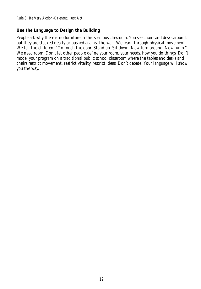#### **Use the Language to Design the Building**

People ask why there is no furniture in this spacious classroom. You see chairs and desks around, but they are stacked neatly or pushed against the wall. We learn through physical movement. We tell the children, "Go touch the door. Stand up. Sit down. Now turn around. Now jump." We need room. Don't let other people define your room, your needs, how you do things. Don't model your program on a traditional public school classroom where the tables and desks and chairs restrict movement, restrict vitality, restrict ideas. Don't debate. Your language will show you the way.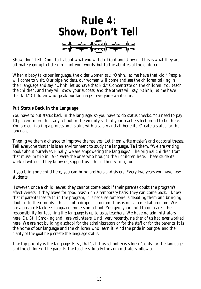

Show, don't tell. Don't talk about what you will do. Do it and show it. This is what they are ultimately going to listen to—not your words, but to the abilities of the children.

When a baby talks our language, the older women say, "Ohhh, let me have that kid." People will come to visit. Our pipe holders, our women will come and see the children talking in their language and say, "Ohhh, let us have that kid." Concentrate on the children. You teach the children, and they will show your success, and the others will say, "Ohhh, let me have that kid." Children who speak our language—everyone wants one.

#### **Put Status Back in the Language**

You have to put status back in the language, so you have to do status checks. You need to pay 10 percent more than any school in the vicinity so that your teachers feel proud to be there. You are cultivating a professional status with a salary and all benefits. Create a status for the language.

Then, give them a chance to improve themselves. Let them write master's and doctoral theses. Tell everyone that this is an environment to study the language. Tell them, "We are writing books about ourselves. Finally, we are empowering the language." The original children from that museum trip in 1984 were the ones who brought their children here. These students worked with us. They know us, support us. This is their vision, too.

If you bring one child here, you can bring brothers and sisters. Every two years you have new students.

However, once a child leaves, they cannot come back if their parents doubt the program's effectiveness. If they leave for good reason on a temporary basis, they can come back. I know that if parents lose faith in the program, it is because someone is debating them and bringing doubt into their minds. This is not a dropout program. This is not a remedial program. We are a private Blackfeet language immersion school. You give your child to our care. The responsibility for teaching the language is up to us as teachers. We have no administrators here. Dr. Still Smoking and I are volunteers. Until very recently, neither of us had ever worked here. We are not building a school for the administrators or for the staff or for the parents. It is the home of our language and the children who learn it. And the pride in our goal and the clarity of the goal help create the language status.

The top priority is the language. First, that's all this school exists for; it's only for the language and the children. The parents, the teachers, finally the administrators follow suit.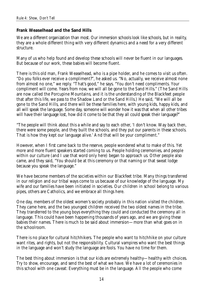**Frank Weaselhead and the Sand Hills**

We are a different organization than most. Our immersion schools look like schools, but in reality, they are a whole different thing with very different dynamics and a need for a very different structure.

Many of us who help found and develop these schools will never be fluent in our languages. But because of our work, these babies will become fluent.

There is this old man, Frank Weaselhead, who is a pipe holder, and he comes to visit us often. "Do you folks ever receive a compliment?", he asked us. "No, actually, we receive almost none from almost no one," we reply. "That's good," he says. "You don't need compliments. Your compliment will come. Years from now, we will all be gone to the Sand Hills." (The Sand Hills are now called the Porcupine Mountains, and it is the understanding of the Blackfeet people that after this life, we pass to the Shadow Land or the Sand Hills.) He said, "We will all be gone to the Sand Hills, and there will be these families here, with young kids, happy kids, and all will speak the language. Some day, someone will wonder how it was that when all other tribes will have their language lost, how did it come to be that they all could speak their language?"

"The people will think about this a while and say to each other, 'I don't know. Way back then, there were some people, and they built the schools, and they put our parents in these schools. That is how they kept our language alive.' And that will be your compliment."

However, when I first came back to the reserve, people wondered what to make of this. Yet more and more fluent speakers started coming to us. People holding ceremonies, and people within our culture (and I use that word only here) began to approach us. Other people also came, and they said, "You should be at this ceremony or that naming or that sweat lodge because you speak the language."

We have become members of the societies within our Blackfeet tribe. Many things transferred in our religion and our tribal ways come to us because of our knowledge of the language. My wife and our families have been initiated in societies. Our children in school belong to various pipes, others are Catholics, and we embrace all things here.

One day, members of the oldest women's society probably in this nation visited the children. They came here, and the two youngest children received the two oldest names in the tribe. They transferred to the young boys everything they could and conducted the ceremony all in language. This could have been happening thousands of years ago, and we are giving these babies their names. There is much to be said about immersion—more than what goes on in the schoolroom.

There is no place for cultural hitchhikers. The people who want to hitchhike on your culture want rites, and rights, but not the responsibility. Cultural vampires who want the best things in the language and won't study the language are fools. You have no time for them.

The best thing about immersion is that our kids are extremely healthy—healthy with choices. Try to show, encourage, and send the best of what we have. We have a lot of ceremonies in this school with one caveat: Everything must be in the language. All the people who come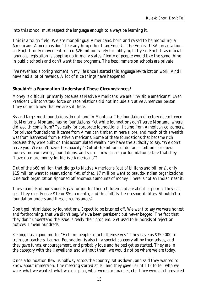into this school must respect the language enough to always be learning it.

This is a tough field. We are monolingual Americans, born and raised to be monolingual Americans. Americans don't like anything other than English. The English USA organization, an English-only movement, raised \$26 million solely for lobbying last year. English-as-officiallanguage legislation is popping up in many states. Plenty of people would like the same thing in public schools and don't want these programs. The best immersion schools are private.

I've never had a boring moment in my life since I started this language revitalization work. And I have had a lot of rewards. A lot of nice things have happened

#### **Shouldn't a Foundation Understand These Circumstances?**

Money is difficult, primarily because as Native Americans, we are "invisible americans". Even President Clinton's task force on race relations did not include a Native American person. They do not know that we are still here.

By and large, most foundations do not fund in Montana. The foundation directory doesn't even list Montana. Montana has no foundations. Yet while foundations don't serve Montana, where did wealth come from? Typically for corporate foundations, it came from American consumers. For private foundations, it came from American timber, minerals, ore, and much of this wealth was from harvested from Native Americans. Some of these foundations that became rich because they were built on this accumulated wealth now have the audacity to say, "We don't serve you. We don't have the capacity." Out of the billions of dollars —billions for opera houses, museum wings, foundations, and such—how can major foundations state that they "have no more money for Native Americans"?

Out of the \$60 million that did go to Native Americans (out of billions and billions), only \$15 million went to reservations. Yet, of that, \$7 million went to pseudo-Indian organizations. One such organization siphoned off enormous amounts of money. There is not an Indian near it.

These parents of our students pay tuition for their children and are about as poor as they can get. They readily give \$10 or \$50 a month, and this fulfills their responsibilities. Shouldn't a foundation understand these circumstances?

Don't get intimidated by foundations. Expect to be brushed off. We want to say we were honest and forthcoming, that we didn't beg. We've been persistent but never begged. The fact that they don't understand the issue is really their problem. Get used to hundreds of rejection notices. I mean hundreds.

Kellogg has a good motto, "Helping people to help themselves." They gave us \$350,000 to train our teachers. Lannan Foundation is also in a special category all by themselves, and they gave funds, encouragement, and probably love and helped get us started. They are in the category with the Hawaiians, and without them, we would not be where we are today.

Once a foundation flew us halfway across the country, sat us down, and said they wanted to know about immersion. The meeting started at 10, and they gave us until 12 to tell who we were, what we wanted, what was our plan, what were our finances, etc. They were a bit provoked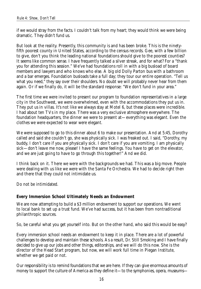if we would stray from the facts. I couldn't talk from my heart; they would think we were being dramatic. They didn't fund us.

But look at the reality. Presently, this community is and has been broke. This is the ninetyfifth poorest county in United States, according to the census records. Gee, with a few billion to give, don't you think the leading national foundations should give to the poorest counties? It seems like common sense. I have frequently talked a silver streak, and for what? For a "thank you for attending this session." We've had foundations roll in with a big busload of board members and lawyers and who knows who else. A big old Dolly Parton bus with a bathroom and a bar emerges. Foundation busloads take a full day; they tour our entire operation. "Tell us what you need," they say over their shoulders. No doubt we will probably never hear from them again. Or if we finally do, it will be the standard response: "We don't fund in your area."

The first time we were invited to present our program to foundation representatives in a large city in the Southwest, we were overwhelmed, even with the accommodations they put us in. They put us in villas. It's not like we always stay at Motel 6, but these places were incredible. I had about ten TVs in my place. There was a very exclusive atmosphere everywhere. The foundation headquarters, the dinner we were to present at—everything was elegant. Even the clothes we were expected to wear were elegant.

We were supposed to go to this dinner about 6 to make our presentation. And at 5:45, Dorothy called and said she couldn't go, she was physically sick. I was freaked out. I said, "Dorothy, my buddy, I don't care if you are physically sick. I don't care if you are vomiting. I am physically sick—don't leave me now, please! I have the same feelings. You have to get on the elevator, and we are just going to have to go through this together!" And we did.

I think back on it. There we were with the backgrounds we had. This was a big move. People were dealing with us like we were with the Santa Fe Orchestra. We had to decide right then and there that they could not intimidate us.

Do not be intimidated.

**Every Immersion School Ultimately Needs an Endowment**

We are now attempting to build a \$3 million endowment to support our operations. We went to local bank to set up a trust fund. We've had success, but it has been from nontraditional philanthropic sources.

So, be careful what you get yourself into. But on the other hand, who said this would be easy?

Every immersion school needs an endowment to keep it in place. There are a lot of powerful challenges to develop and maintain these schools. As a result, Dr. Still Smoking and I have finally decided to give up our jobs and other things, editorships, and we will do this now. She is the director of the Head Start program, but now, we will work full time in Piegan Institute, whether we get paid or not.

Our responsibility is to remind foundations that we are here. If they can give enormous amounts of money to support the culture of America as they define it—to the symphonies, opera, museums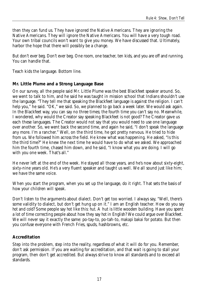then they can fund us. They have ignored the Native Americans. They are ignoring the Native Americans. They will ignore the Native Americans. You will have a very tough road. Your own tribal councils won't want to give you money. We have discussed that. Ultimately, harbor the hope that there will possibly be a change.

But don't ever beg. Don't ever beg. One room, one teacher, ten kids, and you are off and running. You can handle that.

Teach kids the language. Bottom line.

**Mr. Little Plume and a Strong Language Base**

On our survey, all the people said Mr. Little Plume was the best Blackfeet speaker around. So, we went to talk to him, and he said he was taught in mission school that Indians shouldn't use the language. "They tell me that speaking the Blackfeet language is against the religion. I can't help you," he said. "OK," we said. So, we planned to go back a week later. We would ask again. In the Blackfeet way, you can say no three times; the fourth time you can't say no. Meanwhile, I wondered, why would the Creator say speaking Blackfeet is not good? The Creator gave us each these languages. The Creator would not say that you would need to use one language over another. So, we went back the second time, and again he said, "I don't speak the language any more. I'm a rancher." Well, on the third time, he got pretty nervous. He tried to hide from us. We followed him across the field. He knew what was happening. He asked, "Is this the third time?" He knew the next time he would have to do what we asked. We approached him the fourth time, chased him down, and he said, "I know what you are doing. I will go with you one week. That's all."

He never left at the end of the week. He stayed all those years, and he's now about sixty-eight, sixty-nine years old. He's a very fluent speaker and taught us well. We all sound just like him; we have the same voice.

When you start the program, when you set up the language, do it right. That sets the basis of how your children will speak.

Don't listen to the arguments about dialect. Don't get too worried. I always say, "Well, there's some validity to dialect, but don't get hung up on it." I am an English teacher. How do you say *hot* and *cold*? Some people say *hot* like this: *hut*. A hut is little wooden building. Have you spent a lot of time correcting people about how they say *hot* in English? We could argue over Blackfeet. We will never say it exactly the same: po-tay-to, po-tah-to, *makapi bakai* for potato. But then you confuse everyone with French Fries, spuds, hashbrowns, etc.

#### **Accreditation**

Step into the problem, step into the reality, regardless of what it will do for you. Remember, don't ask permission. If you are waiting for accreditation, and that wait is going to stall your program, then don't get accredited. But always strive to know all standards and to exceed all standards.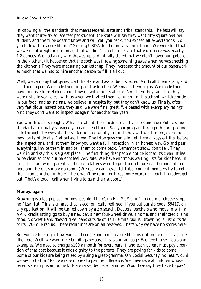In knowing all the standards, that means federal, state and tribal standards. The feds will say they want thirty-six square feet per student, the state will say they want fifty square feet per student, and the tribe doesn't know and will call you back. You exceed all expectations. Do you follow state accreditation? Getting USDA food money is a nightmare. We were told that we were not weighing our bread, that we didn't check to be sure that each piece was exactly 1.2 ounces. We had a guy who showed up and initially stated that we didn't cover our garbage in the kitchen. (It happened that the cook was throwing something away when he was checking the kitchen.) They were measuring our ketchup. They increased the amount of our paperwork so much that we had to hire another person to fill it all out.

Well, we can play that game. Call the state and *ask* to be inspected. And call them again, and call them again. We made them inspect the kitchen. We made them gig us. We made them have to drive from Helena and show up with their state car. And then they said that they were not allowed to eat with us when we invited them to lunch. In this school, we take pride in our food, and as Indians, we believe in hospitality, but they don't know us. Finally, after very fastidious inspections, they said, we were fine, great. We passed with exemplary ratings. And they don't want to inspect us again for another ten years.

You win through strength. Why care about their mediocre and vague standards? Public school standards are usually so vague you can't read them. See your program through the prospective "life through the eyes of others." Anticipate what you think they will want to see, even the most petty of details. Flat out-do them. The tribe guys come in: let them always eat first before the inspections, and let them know you want a full inspection in an honest way. Go and pass everything. Invite them in and tell them to come back. Remember: show, don't tell. They walk in and say this is a great place. The first thing that people notice is that it's clean. It *has* to be clean so that our parents feel very safe. We have enormous waiting lists for kids here. In fact, it is hard when parents and close relatives want to put their children and grandchildren here and there is simply no room. (We really can't even let tribal council members try to get their grandchildren in here. There won't be room for three more years until eighth-graders get out. That's a tough call when trying to gain their support.)

#### **Money, again**

Browning is a tough place for most people. There's no Egg McMuffin,<sup>®</sup> no gourmet cheese shop, no Pizza Hut. This is an area that is economically redlined. If you put our zip code, 59417, on any application, it will be turned down by a zip search. Doctors, teachers who move in with a AAA credit rating, go to buy a new car, a new four-wheel-drive, a home, and their credit is no good. Norwest Bank doesn't give loans outside of its 120-mile radius. Browning is just outside of its 120-mile radius. These redlinings are on all reserves. That's why we have no stores here.

But you are looking at how you can become and remain a credible institution here or in a place like here. Well, we want nice buildings because this is our language. We need to set goals and examples. We need to charge \$100 a month for every parent, and each parent must pay a portion of that cost because it adds dignity to the parents. They are paying for kids to come. Some of our kids are being raised by a single great-gramma. On Social Security, no less. Would we say no to that? No, we raise money to pay the difference. We have several children whose parents are in prison. Some kids are raised by foster families. Would we say they have to pay?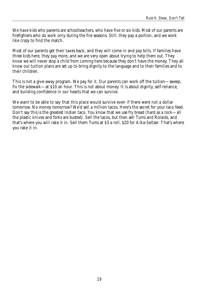We have kids who parents are schoolteachers, who have five or six kids. Most of our parents are firefighters who do work only during the fire seasons. Still, they pay a portion, and we work like crazy to find the match.

Most of our parents get their taxes back, and they will come in and pay bills. If families have three kids here, they pay more, and we are very open about trying to help them out. They know we will never stop a child from coming here because they don't have the money. They all know our tuition plans are set up to bring dignity to the language and to their families and to their children.

This is not a give-away program. We pay for it. Our parents can work off the tuition—sweep, fix the sidewalk—at \$10 an hour. This is not about money. It is about dignity, self-reliance, and building confidence in our hearts that we can survive.

We want to be able to say that this place would survive even if there were not a dollar tomorrow. No money tomorrow? We'd sell a million tacos. Here's the secret for your taco feed. Don't say this is the greatest Indian taco. You know that we use fry bread (hard as a rock—all the plastic knives and forks are busted). Sell the tacos, but then sell Tums and Rolaids, and that's where you will rake it in. Sell them Tums at \$3 a roll, \$20 for Alka-Seltzer. That's where you rake it in.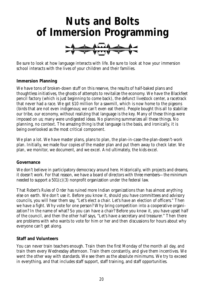## **Nuts and Bolts of Immersion Programming**



Be sure to look at how language interacts with life. Be sure to look at how your immersion school interacts with the lives of your children and their families.

#### **Immersion Planning**

We have tons of broken-down stuff on this reserve, the results of half-baked plans and thoughtless initiatives, the ghosts of attempts to revitalize the economy. We have the Blackfeet pencil factory (which is just beginning to come back), the defunct livestock center, a racetrack that never had a race. We got \$10 million for a sawmill, which is now home to the pigeons (birds that are not even indigenous; we can't even eat them). People bought this all to stabilize our tribe, our economy, without realizing that language is the key. Many of these things were imposed on us; many were undigested ideas. No planning summarizes all these things. No planning, no context. The amazing thing is that language is the basis, and ironically, it is being overlooked as *the* most critical component.

We plan a lot. We have master plans, plans to plan, the plan-in-case-the-plan-doesn't-work plan. Initially, we made four copies of the master plan and put them away to check later. We plan, we monitor, we document, and we excel. And ultimately, the kids excel.

#### **Governance**

We don't believe in participatory democracy around here. Historically, with projects and dreams, it doesn't work. For that reason, we have a board of directors with three members—the minimum needed to support a 501(c)(3) nonprofit organization under the federal law.

That *Robert's Rules of Order* has ruined more Indian organizations than has almost anything else on earth. We don't use it. Before you know it, should you have committees and advisory councils, you will hear them say, "Let's elect a chair. Let's have an election of officers." Then we have a fight. Why vote for one person? Why bring competition into a cooperative organization? In the name of what? So you can have a chair? Before you know it, you have upset half of the council, and then the other half says, "Let's have a secretary and treasurer." Then there are problems with who wants to vote for him or her and then discussions for hours about why everyone can't get along.

#### **Staff and Volunteers**

You can never train teachers enough. Train them the first Monday of the month all day, and train them every Wednesday afternoon. Train them constantly, and give them incentives. We went the other way with standards. We see them as the absolute minimums. We try to exceed in everything, and that includes staff support, staff training, and staff opportunities.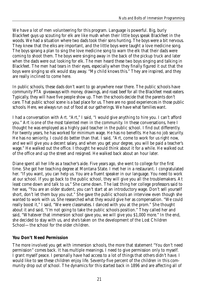We have a lot of men volunteering for this program. Language is powerful. Big, burly Blackfeet guys up scouting for elk are like mush when their little boys speak Blackfeet in the woods. We had a situation where two dads took their sons hunting. The boys were a bit nervous. They knew that the elks are important, and the little boys were taught a love medicine song. The boys sprang a plan to sing the love medicine song to warn the elk that their dads were coming to shoot them. The boys were singing away in the back of the pickup truck and later when the dads were out looking for elk. The men heard these two boys singing and talking in Blackfeet. The men had tears in their eyes, especially when they finally figured it out that the boys were singing so elk would stay away. "My child knows this." They are inspired, and they are really inclined to come here.

In public schools, these dads don't want to go anywhere near there. The public schools have community PTA giveaways with money, drawings, and roast beef for all the Blackfeet meat-eaters. Typically, they will have five people show up. Then the schools decide that the parents don't care. That public school scene is a bad place for us. There are no good experiences in those public schools. Here, we always run out of food at our gatherings. We have what families want.

I had a conversation with Art. "Art," I said, "I would give anything to hire you. I can't afford you." Art is one of the most talented men in the community. In these conversations, here I thought he was employed as a highly paid teacher in the public school. I find out differently. For twenty years, he has worked for minimum wage. He has no benefits. He has no job security. He has no seniority. I could do better than that. I said, "Art, come to work for us right now, and we will give you a decent salary, and when you get your degree, you will be paid a teacher's wage." He walked out the office. I thought he would think about it for a while. He walked out of the office and up the street and resigned. He walked back about an hour later.

Diane spent all her life as a teacher's aide. Five years ago, she went to college for the first time. She got her teaching degree at Montana State. I met her in a restaurant. I congratulated her. "If you want, you can help us. You are a fluent speaker in our language. You need to work at our school. If you go back to the public school, they will give you all the troublemakers. At least come down and talk to us." She came down. The last thing her college professors said to her was, "You are an older student, you can't start at an introductory wage. Don't sell yourself short, don't let them buy you out." She gave the public schools an interview even though she wanted to work with us. She researched what they would give her as compensation. "We could really boost it," I said, "We were classmates. I danced with you at the prom." She thought about it and said, "I'm not going to take the public schools position." They called her and said, "Whatever that immersion school gave you, we will give you \$1,000 more." In the end, she decided to stay with us, and she's taken on the development of the Lost Children School—the school for the older children.

## **You Don't Need Permission**

The more involved you get with immersion schools, the more that statement "You don't need permission" comes back. It has multiple meanings. I need to give permission only to myself. I grant myself peace. I personally have had access to a lot of things that others didn't have. I would like to see these children enjoy life. Seventy-five percent of the children in this community drop out of school. The dynamics for this started back in 1896 and are affecting all of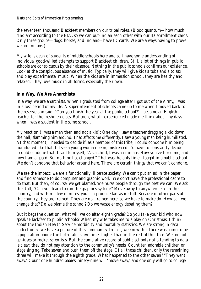the seventeen thousand Blackfeet members on our tribal roles. (Blood quantum—how much "Indian" according to the BIA, so we can out-Indian each other with our ID enrollment cards. Only three groups—dogs, horses, and Indians—have ID cards. We are always having to prove we are Indians.)

My wife is dean of students of middle schools here and so I have some understanding of individual good-willed attempts to support Blackfeet children. Still, a lot of things in public schools are conspicuous by their absence. Nothing in the public schools confirms our existence. Look at the conspicuous absence of music. Typically, they will give kids a tuba and alto sax and play experimental music. When the kids are in immersion school, they are healthy and relaxed. They love music in all forms, especially their own.

#### **In a Way, We Are Anarchists**

In a way, we are anarchists. When I graduated from college after I got out of the Army, I was in a lost period of my life. A superintendent of schools came up to me when I moved back to the reserve and said, "Can you finish the year at the public school?" I became an English teacher for the freshmen class. But soon, what I experienced made me think about my days when I was a student in the same school.

My reaction (I was a man then and not a kid): One day, I saw a teacher dragging a kid down the hall, slamming him around. That affects me differently. I saw a young man being humiliated. At that moment, I needed to decide if, as a member of this tribe, I could condone him being humiliated like that. I'd see a young woman being mistreated. I'd have to constantly decide if I could condone that. I said to myself, "As a child, I was an inmate. Now you've hired me, and now I am a guard. But nothing has changed." That was the only time I taught in a public school. We don't condone that behavior around here. There are certain things that we can't condone.

We see the impact; we are a functionally illiterate society. We can't put an ad in the paper and find someone to do computer and graphic work. We don't have the professional cadre to do that. But then, of course, we get blamed. We nurse people through the best we can. We ask the staff, "Can you learn to run the graphics system?" Move away to anywhere else in the country, and within a few minutes, you can produce fantastic stuff. Because in other parts of the country, they are trained. They are not trained here, so we have to make do. How can we change that? Do we blame the school? Do we waste energy debating them?

But it begs the question, what will we do after eighth grade? Do you take your kid who now speaks Blackfeet to public schools? When my wife takes me to a play on Christmas, I think about the Indian Health Service morbidity and mortality statistics. We are strong in data collection so we have a picture of this community. In fact, we knew that there was going to be a population boom; the birth rate is five times higher than in the rest of the state. We are not geniuses or rocket scientists. But the cumulative record of public schools not attending to data is clear: they do not pay attention to the community's needs. Count ten adorable children on stage singing. Take seven and push them off the stage. Of all those children, only the remaining three will make it through the eighth grade. What happened to the other seven? "They went away." Count one hundred babies, ninety-nine will "move away," and one only will go to college.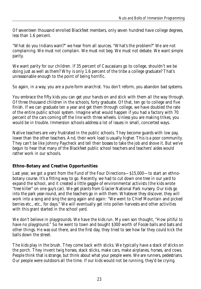Of seventeen thousand enrolled Blackfeet members, only seven hundred have college degrees, less than 1.6 percent.

"What do you Indians want?" we hear from all sources. "What's the problem?" We are not complaining. We must not complain. We must not beg. We must not debate. We want simple parity.

We want parity for our children. If 35 percent of Caucasians go to college, shouldn't we be doing just as well as them? Why is only 1.6 percent of the tribe a college graduate? That's unreasonable enough to the point of being horrific.

So again, in a way, you are a pure-form anarchist. You don't reform, you abandon bad systems.

You embrace the fifty kids you can get your hands on and stick with them all the way through. Of three thousand children in the schools, forty graduate. Of that, ten go to college and five finish. If we can graduate ten a year and get them through college, we have doubled the rate of the entire public school system. Imagine what would happen if you had a factory with 70 percent of the cars coming off the line with three wheels. Unless you are making trikes, you would be in trouble. Immersion schools address a lot of issues in small, concerted ways.

Native teachers are very frustrated in the public schools. They become guards with low pay, lower than the other teachers. And, their work load is usually higher. This is a poor community. They can't be like Johnny Paycheck and tell their bosses to take the job and shove it. But we've begun to hear that many of the Blackfeet public school teachers and teachers' aides would rather work in our schools.

#### **Ethno-Botany and Creative Opportunities**

Last year, we got a grant from the Fund of the Four Directions—\$15,000—to start an ethnobotany course. It's a fitting way to go. Recently, we had to cut down one tree in our yard to expand the school, and it created a little gaggle of environmental activists (the kids wrote "tree killer" on one guy's car). We get plants from Glacier National Park nursery. Our kids go into the park year-round, and the teachers go in with them. Whatever they discover, they will work into a song and sing the song again and again: "We went to Chief Mountain and picked berries etc., etc., for days." We will eventually get into pollen harvests and other activities with this grant started in the school yard.

We don't believe in playgrounds. We have the kids run. My own son thought, "How pitiful to have no playground." So he went to town and bought \$300 worth of Fooze balls and bats and other things. He was out there, and the first day, they tried to see how far they could kick the balls down the street.

The kids play in the brush. They come back with sticks. We typically have a stack of sticks on the porch. They invent twig horses, stack sticks, make cars, make airplanes, horses, and cows. People think that is strange, but think about what your people were. We are runners, pedestrians. Our people were outdoors all the time. If our kids would not be running, they'd be crying.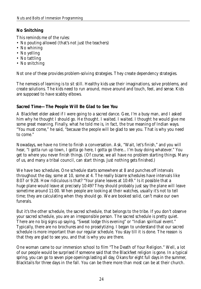## **No Snitching**

This reminds me of the rules:

- No pouting allowed (that's not just the teachers)
- No whining
- No yelling
- No tattling
- No snitching

Not one of these provides problem-solving strategies. They create dependency strategies.

The nemesis of learning is to sit still. Healthy kids use their imaginations, solve problems, and create solutions. The kids need to run around, move around and touch, feel, and sense. Kids are supposed to have scabby elbows.

## **Sacred Time—The People Will Be Glad to See You**

A Blackfeet elder asked if I were going to a sacred dance. Gee, I'm a busy man, and I asked him why he thought I should go. He thought. I waited. I waited. I thought he would give me some great meaning. Finally, what he told me is, in fact, the true meaning of Indian ways. "You must come," he said, "because the people will be glad to see you. That is why you need to come."

Nowadays, we have no time to finish a conversation. Ask, "Wait, let's finish," and you will hear, "I gotta run up town, I gotta go here, I gotta go there... I'm busy doing whatever." You get to where you never finish things. (Of course, we all have no problem starting things. Many of us, and many a tribal council, can start things. Just nothing gets finished.)

We have two schedules. One schedule starts somewhere at 8 and punches off intervals throughout the day, some at 10, some at 4. The really bizarre schedules have intervals like 8:07 or 9:28. How ridiculous is that? "Your plane leaves at 10:49." Is it possible that a huge plane would leave at precisely 10:49? They should probably just say the plane will leave sometime around 11:00. When people are looking at their watches, usually it's not to tell time; they are calculating when they should go. We are booked solid, can't make our own funerals.

But it's the other schedule, the sacred schedule, that belongs to the tribe. If you don't observe your sacred schedule, you are an irresponsible person. The sacred schedule is pretty quiet. There are no big signs up saying, "Sweat lodge this evening" or "Indian spiritual event." Typically, there are no brochures and no proselytizing. I began to understand that our sacred schedule is more important than our regular schedule. You stay till it is done. The reason is that they are glad to see you, and that is why you are there.

One woman came to our immersion school to film "The Death of Your Religion." Well, a lot of our people would be surprised if someone said that the Blackfeet religion is gone. In a typical spring, you can go to seven pipe openings lasting all day, Okans for eight full days in the summer, Blacktails for three days in the fall. You can be there more than most can be at their church.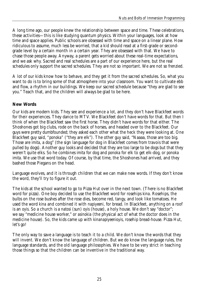A long time ago, our people knew the relationship between space and time. These celebrations, these activities—this is like studying quantum physics. Within your languages, look at how time and space applies. Public schools are obsessed with time and space on a linear plane. How ridiculous to assume, much less be worried, that a kid should read at a first-grade or secondgrade level by a certain month in a certain year. They are obsessed with that. We have to chase those people away. Anyway, a parent gets worried about these real-time expectations, and we ask why. Sacred and real schedules are a part of our experience here, but the real schedules only support the sacred schedules. They are not so important. We are not so frenzied.

A lot of our kids know how to behave, and they get it from the sacred schedules. So, what you want to do is to bring some of that atmosphere into your classroom. You want to cultivate ebb and flow, a rhythm in our buildings. We keep our sacred schedule because "they are glad to see you." Teach that, and the children will always be glad to be here.

## **New Words**

Our kids are modern kids. They see and experience a lot, and they don't have Blackfeet words for their experiences. They dance to MTV. We Blackfeet don't have words for that. But then I think of when the Blackfeet saw the first horse. They didn't have words for that either. The Shoshones got big clubs, rode on the back of horses, and headed over to the Blackfeet. Our guys were pretty dumbfounded; they asked each other what the heck they were looking at. One Blackfeet guy said, *"ponoka"* ("they are elk"). The other guy said, "Naaaa, those are too big. Those are *imita*, a dog" (the sign language for dog in Blackfeet comes from travois that were pulled by dogs). Another guy looks and decided that they are too large to be dogs but that they weren't quite elks. So he combines *imita* for dog and *ponoka* for elk to get elk-dog, or *ponoka imita*. We use that word today. Of course, by that time, the Shoshones had arrived, and they bashed those Piegans on the head.

Language evolves, and it is through children that we can make new words. If they don't know the word, they'll try to figure it out.

The kids at the school wanted to go to Pizza Hut over in the next town. (There is no Blackfeet word for pizza). One boy decided to use the Blackfeet word for rosehips *kina*. Rosehips, the bulbs on the rose bushes after the rose dies, become red, tangy, and look like tomatoes. He used the word *kina* and combined it with *napiyeeni*, for bread. In Blackfeet, anything on a roof is an *oyis*. So a church is a *natosi* (sun) *oyis* (house), a holy house. We don't say "doctor"; we say "medicine house worker," or *asinokia* (the physical act of what the doctor does in the medicine house). So, the kids came up with *kinanapiyeenioyis*, rosehip bread-house. Pizza Hut, let's go!

The only way to save a language is to teach it to a child. We don't know the words that they will invent. We don't know the language of children. But we do know the language rules, the language standards, and the old language philosophies. We have to be very strict in teaching those things so that the children can be inventive in the traditional way.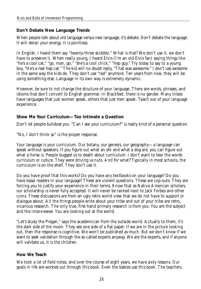## **Don't Debate New Language Trends**

When people talk about old language versus new language, it's debate. Don't debate the language. It will derail your energy. It is pointless.

In English, I heard them say "twenty-three skidddo." What is that? We don't use it, we don't have to preserve it. When really young, I heard Elvis (I'm an old Elvis fan) saying things like "he's a cool cat," "go, man, go," "she's a cool chick," "hep guy." Try today to say to a young boy, "He's a real hep cat." The kid will no doubt reply, "That was awesome." I don't use *awesome* in the same way the kids do. They don't use "rad" anymore. Ten years from now, they will be using something else. Language in its own way is extremely dynamic.

However, be sure to not change the structure of your language. There are words, phrases, and idioms that don't convert to English grammar. In Blackfeet, there is no gender. Many tribes have languages that just women speak, others that just men speak. Teach out of your language experience.

**Show Me Your Curriculum—Too Intimate a Question**

Don't let people bulldoze you. "Can I see your curriculum?" is really kind of a personal question.

"No, I don't think so" is the proper response.

Your language is your curriculum. Our botany, our genesis, our geography—a language can speak without speakers. If you figure out what an elk and what a dog are, you can figure out what a horse is. People bugged us to death about curriculum. I don't want to *hear* the words *curriculum* or *culture*. They were driving us nuts. And for what? Typically in most schools, the curriculum is on the shelf. They don't use it.

Do you have proof that this works? Do you have any textbooks on your language? Do you have basal readers in your language? These are violent questions. These are cop-outs. They are forcing you to justify your experience in their terms. Know that as Native American scholars, our scholarship is never fully accepted. It will never be ranked next to Jack Forbes and other icons. These discussions are from an ugly retro world view that we do not have to support or dialogue about. All the things people write about your tribe and out of your tribe are retro, vicarious research. The only true, first-hand primary research is from you. You are the subject and the interviewee. You are looking out at the world.

"Let's study the Piegan," says the academician from the outside world. Actually to them, it's the dark side of the moon. They see one side of a flat paper. If we are in the picture looking out, then the response is cognitive. We won't be published as much. But we don't know if we want to seek validation through the so-called experts anyway. We are the experts, and if anyone will validate us, it is the children.

#### **How We Teach**

We took a lot of field notes, and over the course of eight years, we have sixty lessons. Our goals in life are worked out through this book. Even the babies use this book. The teachers,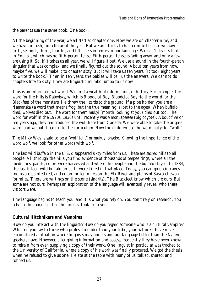the parents use the same book. One book.

At the beginning of the year, we all start at chapter one. Now we are on chapter nine, and we have no rush, no scholar of the year. But we are stuck at chapter nine because we have first-, second-, third-, fourth-, and fifth-person tenses in our language. We can't discuss that in English, which has no fifth-person tense. Fifth-person tense is fading away, and only a few are using it. So, if it takes us all year, we will figure it out. We use a sound in the fourth-person singular that was complex, and we finally figured out the sound. About ten years from now, maybe five, we will make it to chapter sixty. But it will take us ten years. (It took eight years to write the book.) Then in ten years, the babies will tell us the answers. We cannot do chapters fifty to sixty. They are linguistic mumbo jumbo to us now.

This is an informational world. We find a wealth of information, of history. For example, the word for the hills is *Katoyisks*, which is Bloodclot Boy. Bloodclot Boy rid the world for the Blackfeet of the monsters. He threw the lizards to the ground. If a pipe holder, you are a *Namanska* (a word that means frog, but the true meaning is lost to the ages). When buffalo died, wolves died out. The word for them *mukyi* (month looking at you) died out too. The word for wolf in the 1920s, 1930s until recently was *Amonkapeesee* (big coyote). About five or ten years ago, they reintroduced the wolf here from Canada. We were able to take the original word, and we put it back into the curriculum. Now the children use the word *mukyi* for "wolf."

The Milky Way is said to be a "wolf tail," or *mukuyi ohsoko*. Knowing the importance of the word *wolf*, we look for other words with *wolf*.

The last wild buffalo in the U.S. disappeared sixty miles from us. These are sacred hills to all people. All through the hills you find evidence of thousands of teepee rings, where all the medicines, paints, colors were harvested and where the people and the buffalo stayed. In 1884, the last fifteen wild buffalo on earth were killed in that place. Today, you can go up in caves, rooms are painted red, and go on for ten miles on the Elk River and plains of Saskatchewan for miles. There are writings on the stone (*sinakits*). The Blackfeet know which are ours. But some are not ours. Perhaps an exploration of the language will eventually reveal who these visitors were.

The language begins to teach you, and it is what you rely on. You don't rely on research. You rely on the language that the linguist took from you.

#### **Cultural Hitchhikers and Vampires**

How do you interact with the linguists? How do you regard someone who is a cultural vampire? What do you say to those who profess to understand your tribe, your nation? I have never encountered a situation where linguists may understand our language better than the Native speakers have. However, after giving information and access, frequently they have been known to refrain from even supplying a copy of their work. One linguist in particular was tracked to the University of California, where a copy of his work was finally procured. We got the thesis when he refused to give us one. He ate at the table with many of us, talked, shared, and robbed us.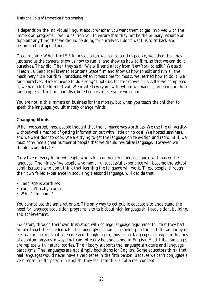It depends on the individual linguist about whether you want them to get involved with the immersion programs. I would caution you to ensure that they not be the primary resource or supplant anything that we should be doing for ourselves. I don't want us to sit back and become reliant upon them.

Case in point: When the IE Film Association wanted to send us people, we asked that they just send us the camera, show us how to run it, and show us how to film, so that we can do it ourselves. They did. Then they said, "We will send a lady from New York to edit." We said, "Teach us. Send Joe Fisher to Montana State film and show us how to edit and run all the machinery." On our film *Transitions*, when it was time for music, we learned how to do it, we sang ourselves. Hire someone to do a song? That's us, for this movie *is* us. After we completed it, we had a little film festival. We invited everyone with whom we made it, ordered one thousand copies of the film, and distributed copies to everyone we could.

You are not in this immersion business for the money, but when you teach the children to speak the language, you ultimately change minds.

## **Changing Minds**

When we started, most people thought that the language was worthless. We use the universitywithout-walls method of getting information out with little or no cost. We hosted seminars, and we went door to door. We are trying to get the language on television and radio. Still, we must convince a great number of people that we should revitalize language. However, we should avoid debate.

Only five of every hundred people who take a university language course will master the language. The ninety-five people who had an unsuccessful experience will become the school administrators who don't think that learning the language will work. These people, through their own failed experience in acquiring a second language, will decide that:

- Language is worthless.
- You can't really learn it.
- What's the point?

You cannot use the same rationale. The only way to get public educators to understand the need for language acquisition programs is to talk about high language skill acquisition, building, and achievement.

Educators, through their own frustration with college language requirements—that they had to take to get their credentials—begrudgingly feel language belongs in the past. It's an annoying elective or an irrelevant sidebar. Even though, again, most tribal languages can explain theories of quantum physics in ways that cannot easily be understood in English. Most tribal languages are replete with natural stories. The history supports the language structure and language paradigms. The languages are not simply backdrops for English. Some educators think that real languages would never have a verb tense in the fifth person. Because we can't conjugate a verb tense in fifth person in English, they feel that this is not a real concept.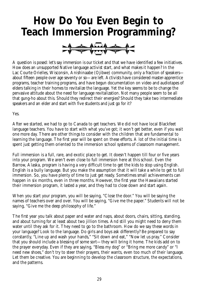## **How Do You Even Begin to Teach Immersion Programming?**



A question is posed: let's say immersion is our ticket and that we have identified a few initiatives. How does an unsupported Native language activist start, and what makes it happen? In the Lac Courte Orielles, Wisconsin, Anishinaabe (Ojibwe) community, only a fraction of speakers about fifteen people over age seventy or so—are left. Activists have considered master-apprentice programs, teacher training programs, and have begun documentation on video and audiotapes of elders talking in their homes to revitalize the language. Yet the key seems to be to change the pervasive attitude about the need for language revitalization. Not many people seem to be all that gung-ho about this. Should they redirect their energies? Should they take two intermediate speakers and an elder and start with five students and just go for it?

Yes.

After we started, we had to go to Canada to get teachers. We did not have local Blackfeet language teachers. You have to start with what you've got; it won't get better, even if you wait one more day. There are other things to consider with the children that are fundamental to learning the language. The first year will be spent on these efforts. A lot of the initial time is spent just getting them oriented to the immersion school systems of classroom management.

Full immersion is a full, rare, and exotic place to get. It doesn't happen till four or five years into your program. We aren't even close to full immersion here at this school. Even the Barrow, Alaska, program is having a very difficult time to get the kids to stop using English. English is a bully language. But you make the assumption that it will take a while to get to full immersion. So, you have plenty of time to just get ready. Sometimes small achievements can happen in six months, even in three months. However, the first year the Hawaiians started their immersion program, it lasted a year, and they had to close down and start again.

When you start your program, you will be saying, "Close the door." You will be saying the names of teachers over and over. You will be saying, "Give me the paper." Students will not be saying, "Give me the deep philosophy of life."

The first year you talk about paper and water and naps, about doors, chairs, sitting, standing, and about turning for at least about two jillion times. And still you might need to deny them water until they ask for it. They need to go to the bathroom. How do we say these words in your language? Look to the language. Do girls and boys ask differently? Be prepared to say constantly, "Line up and wash your hands," "Sit down and eat," "Now let us pray." Consider that you should include a blessing of some sort—they will bring it home. The kids add on to the prayer everyday. Even if they are saying, "Bless my dog" or "Bring me more candy" or "I need new shoes," don't try to steer their prayers, their wants, even too much of their language. Let them be creative. You are beginning to develop the classroom structure, the expectations, and the patterns.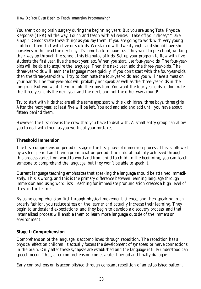You aren't doing brain surgery during the beginning years. But you are using Total Physical Response (TPR) all the way. Touch and teach with all senses: "Take off your shoes," "Take a nap." Demonstrate these things as you say them. If you are going to work with very young children, then start with five or six kids. We started with twenty-eight and should have shot ourselves in the head the next day. It's come back to haunt us. They went to preschool, working their way up through the school, this big bulge of kids. Set up your program to flow with five students the first year, five the next year, etc. When you start, use four-year-olds. The four-yearolds will be able to acquire the language. Then the next year, add the three-year-olds. The three-year-olds will learn the language more quickly. If you don't start with the four-year-olds, then the three-year-olds will try to dominate the four-year-olds, and you will have a mess on your hands. The four-year-olds will probably not speak as well as the three-year-olds in the long run. But you want them to hold their position. You want the four-year-olds to dominate the three-year-olds the next year and the next, and not the other way around!

Try to start with kids that are all the same age: start with six children, three boys, three girls. After the next year, at least five will be left. You add and add and add until you have about fifteen behind them.

However, the first crew is the crew that you have to deal with. A small entry group can allow you to deal with them as you work out your mistakes.

## **Threshold Immersion**

The first comprehension period or stage is the first phase of immersion process. This is followed by a silent period and then a pronunciation period. The natural maturity achieved through this process varies from word to word and from child to child. In the beginning, you can teach someone to comprehend the language, but they won't be able to speak it.

Current language teaching emphasizes that speaking the language should be attained immediately. This is wrong, and this is the primary difference between learning language through immersion and using word lists. Teaching for immediate pronunciation creates a high level of stress in the learner.

By using comprehension first through physical movement, silence, and then speaking in an orderly fashion, you reduce stress on the learner and actually increase their learning. They begin to understand expectations, and they begin to develop a discovery process, and that internalized process will enable them to learn more language outside of the immersion environment.

#### **Stage I: Comprehension**

Comprehension of the language is accomplished through repetition. The repetition has a physical effect on children. It actually fosters the development of synapses, or nerve connections in the brain. Only after these synapses are established and the language is fully understood can speech occur. Thus, after comprehension comes a silent period and finally dialogue.

Early comprehension is accomplished through constant repetition of an established pattern.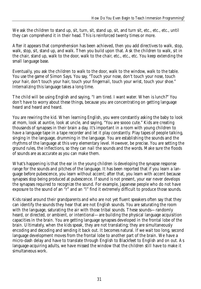We ask the children to stand up, sit, turn, sit, stand up, sit, and turn sit, etc., etc., etc., until they can comprehend it in their head. This is reinforced twenty times or more.

After it appears that comprehension has been achieved, then you add directives to walk, stop, walk, stop, sit, stand up, and walk. Then you build upon that. Ask the children to walk, sit in the chair, stand up, walk to the door, walk to the chair, etc., etc., etc. You keep extending the small language base.

Eventually, you ask the children to walk to the door, walk to the window, walk to the table. You use the game of Simon Says. You say, "Touch your nose, don't touch your nose, touch your hair, don't touch your hair, touch your fingernail, touch your wrist, touch your shoe." Internalizing this language takes a long time.

The child will be using English and saying, "I am tired. I want water. When is lunch?" You don't have to worry about these things, because you are concentrating on getting language heard and heard and heard.

You are rewiring the kid. When learning English, you were constantly asking the baby to look at mom, look at auntie, look at uncle, and saying, "You are soooo cute." Kids are creating thousands of synapses in their brain a day. It's important in a room with young children to have a language tape in a tape recorder and let it play constantly. Play tapes of people talking, singing in the language, drumming in the language. You are establishing the sounds and the rhythms of the language at this very elementary level. However, be precise. You are setting the ground rules, the inflections, so they can nail the sounds and the words. Make sure the floods of sounds are as accurate as you can make them.

What's happening is that the ear in the young children is developing the synapse response range for the sounds and pitches of the language. It has been reported that if you learn a language before pubescence, you learn without accent; after that, you learn with accent because synapses stop being produced at pubescence. If sound is not present, your ear never develops the synapses required to recognize the sound. For example, Japanese people who do not have exposure to the sound of an "r" and an "l" find it extremely difficult to produce those sounds.

Kids raised around their grandparents and who are not yet fluent speakers often say that they can identify the sounds they hear that are not English sounds. You are saturating the room with the language, saturating the air with those tribal sounds. These sounds—randomly heard, or directed, or ambient, or intentional—are building the physical language acquisition capacities in the brain. You are getting language synapses developed in the frontal lobe of the brain. Ultimately, when the kids speak, they are not translating; they are simultaneously encoding and decoding and sending it back out. It becomes natural. If we wait too long, second language development moves from the frontal lobe to another part of the brain. We have a micro-dash delay and have to translate through English to Blackfeet to English and on out. As language-acquiring adults, we have missed the window that the children still have to make it simultaneous work.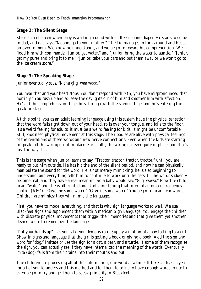## **Stage 2: The Silent Stage**

Stage 2 can be seen when baby is walking around with a fifteen-pound diaper. He starts to come to dad, and dad says, "Noooo, go to your mother." The kid manages to turn around and heads on over to mom. We know he understands, and we begin to reward his comprehension. We flood him with commands: "Junior, get water," and "Junior, bring the water to auntie," "Junior, get my purse and bring it to me," "Junior, take your cars and put them away or we won't go to the ice cream store."

**Stage 3: The Speaking Stage**

Junior eventually says, "Nana giigi waa waaa."

You hear that and your heart stops. You don't respond with "Oh, you have mispronounced that horribly." You rush up and squeeze the daylights out of him and smother him with affection. He's off the comprehension stage, he's through with the silence stage, and he's entering the speaking stage.

At this point, you as an adult learning language using this system have the physical sensation that the word falls right down out of your head, rolls over your tongue, and falls to the floor. It's a weird feeling for adults; it must be a weird feeling for kids. It might be uncomfortable. Still, kids need physical movement at this stage. Their bodies are alive with physical feelings of the sensations of these words and new nerve connections. Even when the kids are starting to speak, all the wiring is not in place. For adults, the wiring is never quite in place, and that's just the way it is.

This is the stage when junior learns to say, "Tractor, tractor, tractor, tractor," until you are ready to put him outside. He has hit the end of the silent period, and now he can physically manipulate the sound for the word. He is not merely mimicking, he is also beginning to understand, and everything tells him to continue to work until he gets it. The words suddenly become real, and they have a real meaning. So a baby would say, "Gigi wawa." Now the child hears "water" and she is all excited and starts fine-tuning that internal automatic frequency control (AFC). "Give me some water." "Give us some water." You begin to hear clear words. Children are mimics; they will mimic the language.

First, you have to model everything, and that is why sign language works so well. We use Blackfeet signs and supplement them with American Sign Language. You engage the children with discrete physical movements that trigger their memories and that give them yet another device to use to remember the language.

"Put your hands up"—as you talk, you demonstrate. Supply a motion of a boy talking to a girl. Show in signs and language that the girl is getting a book or giving a book. Add the sign and word for "dog." Imitate or use the sign for a cat, a bear, and a turtle. If some of them recognize the sign, you can actually see if they have internalized the meaning of the words. Eventually, *imita* (dog) falls from their brains into their mouths and out.

The children are processing all of this information, one word at a time. It takes at least a year for all of you to understand this method and for them to actually have enough words to use to even begin to try and get them to speak primarily in Blackfeet.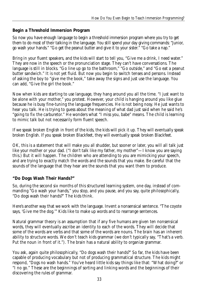## **Begin a Threshold Immersion Program**

So now you have enough language to begin a threshold immersion program where you try to get them to do most of their talking in the language. You still spend your day giving commands: "Junior, go wash your hands." "Go get the peanut butter and give it to your sister." "Go take a nap."

Bring in your fluent speakers, and the kids will start to tell you, "Give me a drink, I need water." They are now in the speech or the pronunciation stage. They can't have conversations. The language is still in blocks. "Go line up go to the bathroom," "Go outside," and "Go eat a peanut butter sandwich." It is not yet fluid. But now you begin to switch tenses and persons. Instead of asking the boy to "give me the book," take away the signs and just use the language. You can add, "Give the girl the book."

Now when kids are starting to use language, they hang around you all the time. "I just want to be alone with your mother," you protest. However, your child is hanging around you like glue because he is busy fine-tuning the language frequencies. He is not being nosy. He just wants to hear you talk. He is trying to guess about the meaning of what dad just said when he said he's "going to fix the carburetor." He wonders what "I miss you, babe" means. The child is learning to mimic talk but not necessarily form fluent speech.

If we speak broken English in front of the kids, the kids will pick it up. They will eventually speak broken English. If you speak broken Blackfeet, they will eventually speak broken Blackfeet.

OK, this is a statement that will make you *all* shudder, but sooner or later, you will all talk just like your mother or your dad. ("I *don't* talk like my father, my mother"—I know you are saying this.) But it will happen. The children who are attending to you are mimicking your speech, and are trying to exactly match the words and the sounds that you make. Be careful that the sounds of the language that they hear are the sounds that you want them to produce.

## **"Do Dogs Wash Their Hands?"**

So, during the second six months of this structured learning system, one day, instead of commanding "Go wash your hands," you stop, and you pause, and you say, quite philosophically, "Do dogs wash their hands?" The kids think.

Here's another way that we work with the language. Invent a nonsensical sentence. "The coyote says, 'Give me the dog.'" Kids like to make up words and to rearrange sentences.

Natural grammar theory is an assumption that if any five humans are given ten nonsensical words, they will eventually ascribe an identity to each of the words. They will decide that some of the words are verbs and that some of the words are nouns. The brain has an inherent ability to structure words. We don't teach kids grammar (we don't typically say, "That's a verb. Put the noun in front of it."). The brain has a natural ability to organize grammar.

You ask, again quite philosophically, "Do dogs wash their hands?" So far, the kids have been capable of producing vocabulary but not of producing grammatical structure. The kids might respond, "Dogs no wash hands." You've heard little kids say things like that: "What doing?" or "I no go." These are the beginnings of sorting and linking words and the beginnings of their discovering the rules of grammar.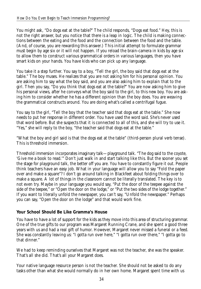You might ask, "Do dogs eat at the table?" The child responds, "Dogs eat food." Hey, this is not the right answer, but you notice that there is a leap in logic. The child is making connections between the eating and the food and the connection between the food and the table. (And, of course, you are rewarding this answer.) This initial attempt to formulate grammar must begin by age six or it will not happen. If you reload the brain-camera in kids by age six to allow them to construct various grammatical orders in various languages, then you have smart kids on your hands. You have kids who can pick up any language.

You take it a step further. You say to a boy, "Tell the girl, the boy said that dogs eat at the table." The boy muses. He realizes that you are not asking *him* for his personal opinion. You are asking him to say what the boy said, and you are also asking him to explain that to the girl. Then you say, "Do you think that dogs eat at the table?" You are now asking him to give his personal views, after he conveys what the boy said to the girl, to this new boy. You are asking him to consider whether he has a different opinion than the boy does. You are weaving the grammatical constructs around. You are doing what's called a centrifugal fugue.

You say to the girl, "Tell the boy that the teacher said that dogs eat at the table." She now needs to put her response in different order. You have used the word *said*. She's never used that word before. But she suspects that it is connected to all of this, and she will try to use it. "Yes," she will reply to the boy, "the teacher said that dogs eat at the table."

"What the boy and girl said is that the dogs eat at the table" (third-person plural verb tense). This is threshold immersion.

Threshold immersion incorporates imaginary talk—playground talk. "The dog said to the coyote, 'Give me a book to read.'" Don't just walk in and start talking like this. But the sooner you set the stage for playground talk, the better off you are. You have to constantly figure it out. People think teachers have an easy job. What in your language will allow you to say "Fold the paper over and make a square"? I don't go around talking in Blackfeet about folding things over to make a square. A lot of things in the classroom cannot be literally translated. The key is to not even try. Maybe in your language you would say, "Put the door of the teepee against the side of the teepee," or "Open the door on the lodge," or "Put the two sides of the lodge together." If you want to literally unfold the newspaper, you can't say, "Unfold the newspaper." Perhaps you can say, "Open the door on the lodge" and that would work fine.

## **Your School Should Be Like Gramma's House**

You have to have a lot of support for the kids as they move into this area of structuring grammar. One of the true gifts to our program was Margaret Running Crane, and she spent a good three years with us and had a real gift of humor. However, Margaret never missed a funeral or a feed. She was constantly leaving us: "I gotta run over here," "I gotta run over there," "I gotta go to that dinner."

We had to keep reminding ourselves that Margaret was not the teacher, she was the speaker. That's all she did. That's all your Margaret does.

Your native language resource person is not the teacher. She should not be asked to do any tasks other than what she would normally do in her own home. Margaret spent time with us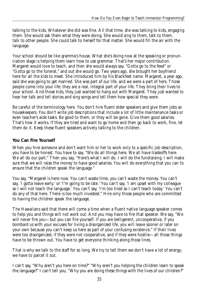talking to the kids. Whatever she did was fine. All that time, she was talking to kids, engaging them. She would ask them what they were doing. She would sing to them, talk to them, talk to other people. She could talk to herself for that matter. She would fill the air with the language.

Your school should be like gramma's house. What she's doing now at the speaking or pronunciation stage is helping them learn how to use grammar. That's her major contribution. Margaret would love to teach, and then she would always say, "Gotta go to the feed" or "Gotta go to the funeral," and out she would go. Two years ago, she brought her boyfriend here for all the kids to meet. She introduced him by his Blackfeet name. Margaret, a year ago, said she was going to get married. She was part of our life, and we were a part of hers. Those people come into your life; they are a real, integral part of your life. They bring their lives to your school. And those kids, they just wanted to hang out with Margaret. They just wanted to hear her talk and tell stories and sing songs and tell them how special they were.

Be careful of the terminology here. You don't hire fluent elder speakers and give them jobs as housekeepers. You don't write job descriptions that include a lot of little maintenance tasks or even teacher's aide tasks. Be good to them, or they will be gone. Give them good salaries. That's how it works. If they are tired and want to go home and then go back to work, fine, let them do it. Keep these fluent speakers actively talking to the children.

## **You Can Fire Yourself**

When you hire someone and don't want him or her to work only to a specific job description, you have to be honest. You have to say, "We do all things here. We all have tradeoffs here. We all do our part." Then you say, "Here's what I will do. I will do the fundraising. I will make sure that we will raise the money to have good salaries. You will do everything that you can to ensure that the children speak the language."

You say, "Margaret is here now. You can't waste time, you can't waste the money. You can't say, 'I gotta leave early,' or 'I'm going to be late.' You can't say, 'I am upset with my colleague so I will not teach the language.' You can't say, 'I'm too tired so I can't teach today.' You can't do any of that here. There is too much invested." Hire only those people who are committed to having the children speak the language.

The Hawaiians said that there will come a time when a fluent native language speaker comes to help you and things will not work out. And you may have to fire that speaker. We say, "We will never fire you—but you can fire yourself. If you are belligerent, uncooperative, if you bombard us with your excuses for living a disorganized life, you will leave sooner or later on your own because you can't keep us here as part of your confusing existence." If their lives were too disorganized, if they were not cooperative, and if they were hostile—all those things have to be thrown out. You have to get everyone thinking along those lines.

That is why we talk to the staff for so long. We try to tell them we don't have a lot of energy; we have to parcel it out.

I can't say, "Why aren't you here on time?" "Why aren't you helping the children learn to speak the language?" I can't tell you, "Why you are doing these things with the lives of our children?"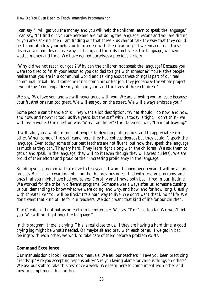I can say, "I will get you the money, and you will help the children learn to speak the language." I can say, "If I find out you are here and are not doing the language lessons and you are sliding or you are slacking, then I am finding out that these kids cannot talk the way that they could be. I cannot allow your behavior to interfere with their learning." If we engage in all these disorganized and destructive ways of being and the kids can't speak the language, we have wasted money and time. We have denied ourselves a precious victory.

"Why did we not reach our goal? Why can the children not speak the language? Because you were too tired to finish your lesson so you decided to fight with someone?" You Native people realize that you are in a communal world and talking about these things is part of our real communal, tribal life. If someone is not doing his or her job, they jeopardize the whole project. I would say, "You jeopardize my life and yours and the lives of these children."

We say, "We love you, and we will never argue with you. We are allowing you to leave because your frustrations run too great. We will see you on the street. We will always embrace you."

Some people can't handle this. They want a job description. "What should I do now, and now, and now, and now?" It took us five years, but the staff with us today is tight. I don't think we will lose anyone. One question was "Why I am here?" One statement was, "I am not leaving."

It will take you a while to sort out people, to develop philosophies, and to appreciate each other. When some of the staff came here, they had college degrees but they couldn't speak the language. Even today, some of our best teachers are not fluent, but now they speak the language as much as they can. They try hard. They learn right along with the children. We ask them to get up and speak in the language, they will do it (even though they will sweat bullets). We are proud of their efforts and proud of their increasing proficiency in the language.

Building your program will take five to ten years. It won't happen over a year. It will be a hard process. But it is a rewarding job—unlike the previous ones I had with reserve programs, and ones that you might have had yourselves. Dorothy and I have both been fired in our lifetime. We worked for the tribe in different programs. Someone was always after us, someone cussing us out, demanding to know what we were doing, and why, and how, and for how long. Usually with threats like "You will be fired." It's a hard way to live. We don't want that kind of life. We don't want that kind of life for our teachers. We don't want that kind of life for our children.

The Creator did not put us on earth to be miserable. We say, "Don't go too far. We won't fight you. We will not fight over the language."

In this program, there is crying. This is real close to us. If they are having a hard time, a good crying jag might be what's needed. Or maybe sit and pray with each other. If we get in bad feelings with each other, we work to take care of them before a problem exists.

## **Command Excellence**

Our manuals don't look like standard manuals. We ask our teachers, "Have you been practicing friendship? Are you accepting responsibility? Are you laying blame for various things on others?" We ask our staff to take this test once a week. We learn here to compliment each other and how to compliment the children.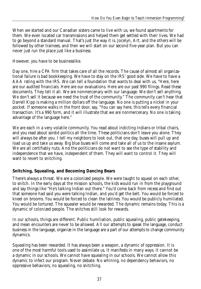When we started and our Canadian sisters came to live with us, we found apartments for them. We even located car transmissions and helped them get settled with their lives. We had to go beyond a standard manual. That's just the way it is. Jocelyn, Art, and the others will be followed by other trainees, and then we will start on our second five-year plan. But you can never just run the place just like a business.

However, you have to be businesslike.

Day one, hire a CPA firm that takes care of all the records. The cause of almost all organizational failure is bad bookkeeping. We have to stay on the IRS' good side. We have to have a AAA rating with the IRS. We can tell a foundation that wants to deal with us, "Here, here are our audited financials. Here are our evaluations. Here are our past 990 filings. Read these documents. They tell it all. We are nonmercenary with our language. We don't sell anything. We don't sell it because we need the trust of the community." The community can't hear that Darrell Kipp is making a million dollars off the language. No one is putting a nickel in your pocket. If someone walks in the front door, say, "You can say here, this tells every financial transaction. It's a 990 form, and it will illustrate that we are nonmercenary. No one is taking advantage of the language here."

We are each in a very volatile community. You read about indicting Indians or tribal chairs, and you read about sordid politics all the time. These politicians don't leave you alone. They will always be after you. I tell my neighbors to look out, that one day, buses will pull up and load us up and take us away. Big blue buses will come and take all of us to the insane asylum. We are all certifiably nuts. And the politicians do not want to see the type of stability and independence that we have, independent of them. They will want to control it. They will want to revert to snitching.

## **Snitching, Squealing, and Becoming Dancing Bears**

There's always a threat. We are a colonized people. We were taught to squeal on each other, to snitch. In the early days at the mission schools, the kids would run in from the playground and say things like "He's talking Indian out there." You'd come back from recess and find out that someone had said you were talking Indian, and you'd get the belt. You would be forced to kneel on brooms. You would be forced to clean the latrines. You would be publicly humiliated. You would be tortured. The squealer would be rewarded. The dynamic remains today. This is a dynamic of colonized people. The snitches still look for rewards.

In our schools, things are different. Public humiliation, public squealing, public gatekeeping, and mean encounters are never to be allowed. All our attempts to speak the language, conduct business in the language, organize in the language are a part of our attempts to change community dynamics.

Squealing has been rewarded. It has always been a weapon, a dynamic of oppression. It is one of the most harmful tools used to assimilate us. It manifests in many ways. It cannot be a dynamic in our schools. We cannot have squealing in our schools. We cannot allow this dynamic to infect our program. Never debate. No whining, no dependency behaviors, no oppressive behaviors, no squealing, no snitching.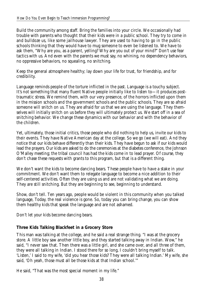Build the community among staff. Bring the families into your circle. We occasionally had trouble with parents who thought that their kids were in a public school. They try to come in and bulldoze us, like some jailhouse lawyer. They are used to having to go in the public schools thinking that they would have to mug someone to even be listened to. We have to ask them, "Why are you, as a parent, yelling? Why are you out of your mind?" Don't use fear tactics with us. And even with the parents we must say, no whining, no dependency behaviors, no oppressive behaviors, no squealing, no snitching.

Keep the general atmosphere healthy; lay down your life for trust, for friendship, and for credibility.

Language reminds people of the torture inflicted in the past. Language is a touchy subject. It's not something that many fluent Native people initially like to listen to—it produces posttraumatic stress. We remind them, with our very presence, of the horrors inflicted upon them in the mission schools and the government schools and the public schools. They are so afraid someone will snitch on us. They are afraid for us that we are using the language. They themselves will initially snitch on us before they will ultimately protect us. We start off in a sea of snitching behavior. We change these dynamics with our behavior and with the behavior of the children.

Yet, ultimately, those initial critics, those people who did nothing to help us, invite our kids to their events. They have Native American day at the college. So we go (we will eat). And they notice that our kids behave differently than their kids. They have begun to ask if our kids would lead the prayers. Our kids are asked to do the ceremonies at the diabetes conference, the Johnson O'Malley meeting; the tribal council has had the kids come in to lead prayer. Of course, they don't chase these requests with grants to this program, but that is a different thing.

We don't want the kids to become dancing bears. These people have to have a stake in your commitment. We don't want them to relegate language to become a nice addition to their self-centered activities. Often they are using us and are not validating what we are doing. They are still snitching. But they are beginning to see, beginning to understand.

Show, don't tell. Ten years ago, people would be violent in this community when you talked language, Today, the real violence is gone. So, today you can bring change, you can show them healthy kids that speak the language and are not ashamed.

Don't let your kids become dancing bears.

#### **Three Kids Talking Blackfeet in a Grocery Store**

This man was talking at the college, and he said a real strange thing. "I was at the grocery store. A little boy saw another little boy, and they started talking away in Indian. Wow," he said, "I never saw that. Then there was a little girl, and she came over, and all three of them, they were all talking in Indian. I stood there for so long, I couldn't bring myself to talk. 'Listen,' I said to my wife, 'did you hear those kids? They were all talking Indian.' My wife, she said, 'Oh yeah, those must all be those kids at that Indian school.'"

He said, "That was the most special moment in my life."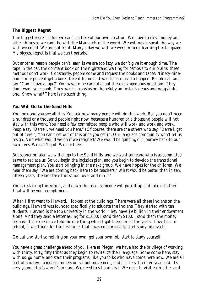## **The Biggest Regret**

The biggest regret is that we can't partake of our own creation. We have to raise money and other things so we can't be with the Margarets of the world. We will never speak the way we wish we could. We are out front. Many a day we wish we were in here, learning the language. My biggest regret is that we can't partake.

But another reason people can't learn is we are too lazy, we don't give it enough time. The tape in the car, the dormant book on the nightstand waiting for osmosis to our brains, these methods don't work. Constantly, people come and request the books and tapes. Ninety-ninepoint-nine percent get a book, take it home and wait for osmosis to happen. People call and say, "Can I have a tape?" You have to be careful about these disingenuous questions. They don't want your book. They want a transfusion, hopefully an instantaneous and nonpainful one. Know what? There is no such thing.

## **You Will Go to the Sand Hills**

You look and you see all this. You ask how many people will do this work. But you don't need a hundred or a thousand people right now, because a hundred or a thousand people will not stay with this work. You need a few committed people who will work and work and work. People say "Darrell, we need you here." (Of course, there are the others who say, "Darrell, get out of here.") You can't get out of this once you get in. Our language community won't let us resign. And what would we do if we resigned? We would be quitting our journey back to our own lives. We can't quit. We are lifers.

But sooner or later, we will all go to the Sand Hills, and we want someone who is as committed as we to replace us. So you begin the logistics plan, and you begin to develop the transitional management plan. You start bringing in the next group. We have hopes for the children. We hear them say, "We are coming back here to be teachers." What would be better than in ten, fifteen years, the kids take this school over and run it?

You are starting this vision, and down the road, someone will pick it up and take it farther. That will be your compliment.

When I first went to Harvard, I looked at the buildings. There were all these Indians on the buildings. Harvard was founded specifically to educate the Indians. They started with ten students. Harvard is the top university in the world. They have \$9 billion in their endowment alone. And they send a letter asking for \$1,000. I send them \$100. I send them the money because that experience told me one thing when I got there: in all the years I have been in school, it was there, for the first time, that I was encouraged to start studying myself.

Go out and start something on your own, get your own job, start to study yourself.

You have a great challenge ahead of you. Here at Piegan, we have had the privilege of working with thirty, forty, fifty tribes as they begin to revitalize their language. Some come here, stay with us, go home, and start their programs, like you folks who have come here now. We are all part of a native language immersion school movement, and it is less than five years old. It's very young; that's why it's so hard. We need to sit and visit. We need to visit each other and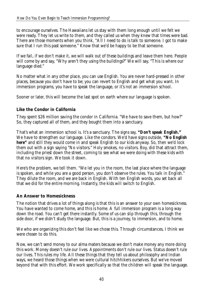to encourage ourselves. The Hawaiians let us stay with them long enough until we felt we were ready. They let us write to them, and they called us when they knew that times were bad. There are those moments when you think, "All I need to do is talk to someone. I got to make sure that I run this past someone." Know that we'd be happy to be that someone.

If we fail, if we don't make it, we will walk out of these buildings and leave them here. People will come by and say, "Why aren't they using the buildings?" We will say, "This is where our language died."

No matter what in any other place, you can use English. You are never hard-pressed in other places, because you don't have to be; you can revert to English and get what you want. In immersion programs, you have to speak the language, or it's not an immersion school.

Sooner or later, this will become the last spot on earth where our language is spoken.

## **Like the Condor in California**

They spent \$26 million saving the condor in California. "We have to save them, but how?" So, they captured all of them, and they bought them into a sanctuary.

That's what an immersion school is. It's a sanctuary. The signs say, **"Don't speak English."** We have to strengthen our language. Like the condors. We'd have signs outside, **"No English here"** and still they would come in and speak English to our kids anyway. So, then we'd lock them out with a sign saying "No visitors." Holy smokes, no visitors. Boy, did that attract them, including the priest down the street, coming to see what we were doing with these kids with that no visitors sign. We took it down.

Here's the problem, we tell them. "We let you in the room, the last place where the language is spoken, and while you are a good person, you don't observe the rules. You talk in English." They dilute the room, and we are back in English. With ten English words, you set back all that we did for the entire morning. Instantly, the kids will switch to English.

## **An Answer to Homesickness**

The notion that drives a lot of things along is that this is an answer to your own homesickness. You have wanted to come home, and this is home. A full immersion program is a long way down the road. You can't get there instantly. Some of us can slip through this, through the side door, if we didn't study the language. But, this is a journey, to immersion, and to home.

We who are organizing this don't feel like we chose this. Through circumstances, I think we were *chosen* to do this.

Now, we can't send money to our alma maters because we don't make money any more doing this work. Money doesn't rule our lives. Appointments don't rule our lives. Status doesn't rule our lives. This rules my life. All these things that they tell us about philosophy and Indian ways, we heard those things when we were cultural hitchhikers ourselves. But we've moved beyond that with this effort. We work specifically so that the children will speak the language.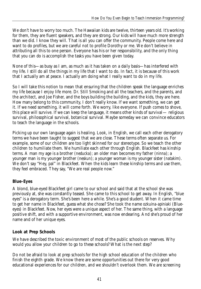We don't have to worry too much. The Hawaiian kids are twelve, thirteen years old. It's working for them, they are fluent speakers, and they are strong. Our kids will have much more strength than we did. I know they will. That is all you can offer the community. People come here and want to do profiles, but we are careful not to profile Dorothy or me. We don't believe in attributing all this to one person. Everyone has his or her responsibility, and the only thing that you can do is accomplish the tasks you have been given today.

None of this—as busy as I am, as much as it has taken on a daily basis—has interfered with my life. I still do all the things in my life that I want to do. In fact, it is because of this work that I actually am at peace. I actually am doing what I really want to do in my life.

So I will take this notion to mean that ensuring that the children speak the language enriches my life because I enjoy life more. Dr. Still Smoking and all the teachers, and the parents, and the architect, and Joe Fisher, and the boys building the building, and the kids, they are here. How many belong to this community, I don't really know. If we want something, we can get it. If we need something, it will come forth. We worry, like everyone. If push comes to shove, this place will survive. If we can keep the language, it means other kinds of survival— religious survival, philosophical survival, botanical survival. Maybe someday we can convince educators to teach the language in the schools.

Picking up our own language again is healing. Look, in English, we call each other derogatory terms we have been taught to suggest that we are close. These terms often separate us. For example, some of our children are too light skinned for our stereotype. So we teach the other children to humiliate them. We humiliate each other through English. Blackfeet has kinship terms. A man my age is a brother (*neducka*); an older man becomes my father (*ninna*); a younger man is my younger brother (*neskun*); a younger woman is my younger sister (*natakim*). We don't say "Hey, pal" in Blackfeet. When the kids learn these kinship terms and use them, they feel embraced. They say, "We are real people now."

## **Blue-Eyes**

A blond, blue-eyed Blackfeet girl came to our school and said that at the school she was previously at, she was constantly teased. She came to this school to get away. In English, "blue eyes" is a derogatory term. She's been here a while. She's a good student. When it came time to get her name in Blackfeet, guess what she chose? She took the name *ozkuina-apiniaki* (Blueeyes) in Blackfeet. Now, her eyes were a unique aspect of her. The same thing, with a language positive shift, and with a supportive environment, was now endearing. And she's proud of her name and of her unique eyes.

#### **Look at Prep Schools**

We have described the toxic environment of most of the public schools on reserves. Why would you allow your children to go to these schools? What is the next step?

Do not be afraid to look at prep schools for the high school education of the children who finish the eighth grade. We know there are some opportunities out there for very good educational experiences for our children, and we shouldn't overlook them. We are screening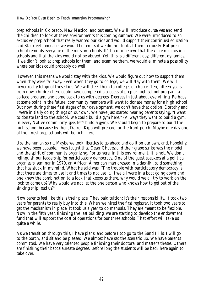prep schools in Colorado, New Mexico, and out east. We will introduce ourselves and send the children to look at these environments this coming summer. We were introduced to an exclusive prep school that really wanted our kids and would support their continued education and Blackfeet language; we would be remiss if we did not look at them seriously. But prep school reminds everyone of the mission schools. It's hard to believe that these are not mission schools and that the kids would not be abused. Yet, this is a different day, different dynamics. If we didn't look at prep schools for them, and examine them, we would eliminate a possibility where our kids could probably do well.

However, this means we would stay with the kids. We would figure out how to support them when they were far away. Even when they go to college, we will stay with them. We will never really let go of these kids. We will steer them to colleges of choice. Ten, fifteen years from now, children here could have completed a successful prep or high school program, a college program, and come back to us with degrees. Degrees in just about everything. Perhaps at some point in the future, community members will want to donate money for a high school. But now, during these first stages of our development, we don't have that option. Dorothy and I were initially doing things on our own. We have just started hearing parents saying, "I want to donate land to the school. We could build a gym here." (Always they want to build a gym. In every Native community, gee, let's build a gym). We should begin to prepare to build the high school because by then, Darrell Kipp will prepare for the front porch. Maybe one day one of the finest prep schools will be right here.

Use the human spirit. Maybe we took liberties to go ahead and do it on our own, and, hopefully, we have been capable. I was taught that Cesar Chavéz and their grape strike was the model and the spirit of community organizing. For us here, in this environment, it is not. We don't relinquish our leadership for participatory democracy. One of the guest speakers at a political organizers' seminar in 1970, an African American man dressed in a dashiki, said something that has stuck in my mind. What he said was, "The trouble with participatory democracy is that there are times to use it and times to not use it. If we all were in a boat going down and one knew the combination to a lock that keeps us there, why would we all try to work on the lock to come up? Why would we not let the one person who knows how to get out of the sinking ship lead us?"

Now parents feel like this is their place. They paid tuition; it's their responsibility. It took two years for parents to really buy into this. When we hired the first registrar, it took two years to get the mechanism in place. It took us a year to do manuals. They are meant to be flexible. Now in the fifth year, finishing the last building, we are starting to develop the endowment fund that will support the cost of operations for our three schools. That effort will take us quite a while.

As we transition through this, I have plans, and before I too go to the Sand Hills, I will go to the porch, and sit and be pleased. We almost have set the scenario up. We have parents committed. We have very talented people finishing their doctoral and master's theses. Others are finishing their baccalaureate degrees. Before long the students will be back here again to take over.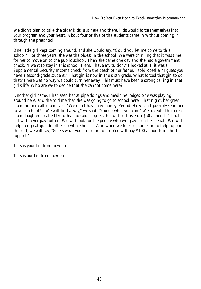We didn't plan to take the older kids. But here and there, kids would force themselves into your program and your heart. About four or five of the students came in without coming in through the preschool.

One little girl kept coming around, and she would say, "Could you let me come to this school?" For three years, she was the oldest in the school. We were thinking that it was time for her to move on to the public school. Then she came one day and she had a government check. "I want to stay in this school. Here, I have my tuition." I looked at it; it was a Supplemental Security Income check from the death of her father. I told Rosella, "I guess you have a second-grade student." That girl is now in the sixth grade. What forced that girl to do that? There was no way we could turn her away. This must have been a strong calling in that girl's life. Who are we to decide that she cannot come here?

Another girl came. I had seen her at pipe doings and medicine lodges. She was playing around here, and she told me that she was going to go to school here. That night, her great grandmother called and said, "We don't have any money. Period. How can I possibly send her to your school?" "We will find a way," we said. "You do what you can." We accepted her great granddaughter. I called Dorothy and said, "I guess this will cost us each \$50 a month." That girl will never pay tuition. We will look for the people who will pay it on her behalf. We will help her great grandmother do what she can. And when we look for someone to help support this girl, we will say, "Guess what you are going to do? You will pay \$100 a month in child support."

This is your kid from now on.

This is our kid from now on.